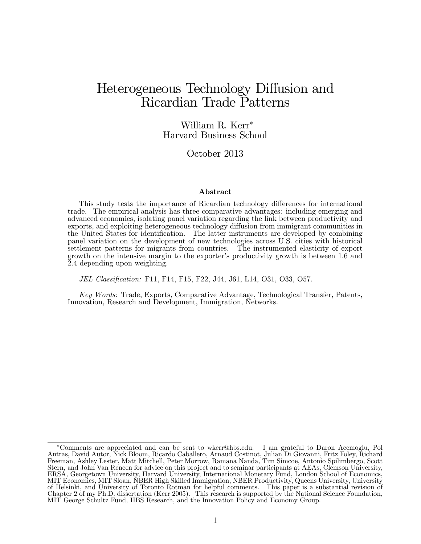# Heterogeneous Technology Diffusion and Ricardian Trade Patterns

#### William R. Kerr Harvard Business School

#### October 2013

#### Abstract

This study tests the importance of Ricardian technology differences for international trade. The empirical analysis has three comparative advantages: including emerging and advanced economies, isolating panel variation regarding the link between productivity and exports, and exploiting heterogeneous technology diffusion from immigrant communities in the United States for identification. The latter instruments are developed by combining panel variation on the development of new technologies across U.S. cities with historical settlement patterns for migrants from countries. The instrumented elasticity of export growth on the intensive margin to the exporter's productivity growth is between 1.6 and 2.4 depending upon weighting.

JEL Classification: F11, F14, F15, F22, J44, J61, L14, O31, O33, O57.

Key Words: Trade, Exports, Comparative Advantage, Technological Transfer, Patents, Innovation, Research and Development, Immigration, Networks.

Comments are appreciated and can be sent to wkerr@hbs.edu. I am grateful to Daron Acemoglu, Pol Antras, David Autor, Nick Bloom, Ricardo Caballero, Arnaud Costinot, Julian Di Giovanni, Fritz Foley, Richard Freeman, Ashley Lester, Matt Mitchell, Peter Morrow, Ramana Nanda, Tim Simcoe, Antonio Spilimbergo, Scott Stern, and John Van Reneen for advice on this project and to seminar participants at AEAs, Clemson University, ERSA, Georgetown University, Harvard University, International Monetary Fund, London School of Economics, MIT Economics, MIT Sloan, NBER High Skilled Immigration, NBER Productivity, Queens University, University of Helsinki, and University of Toronto Rotman for helpful comments. This paper is a substantial revision of Chapter 2 of my Ph.D. dissertation (Kerr 2005). This research is supported by the National Science Foundation, MIT George Schultz Fund, HBS Research, and the Innovation Policy and Economy Group.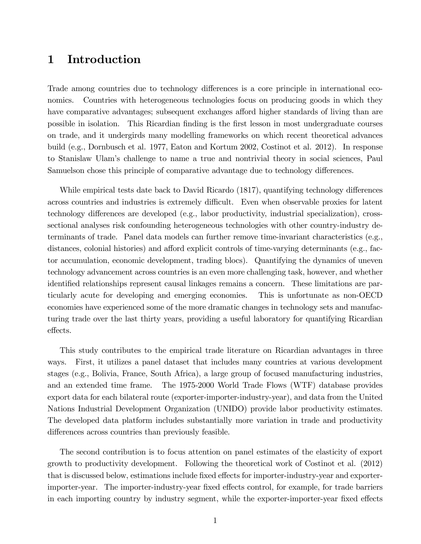## 1 Introduction

Trade among countries due to technology differences is a core principle in international economics. Countries with heterogeneous technologies focus on producing goods in which they have comparative advantages; subsequent exchanges afford higher standards of living than are possible in isolation. This Ricardian finding is the first lesson in most undergraduate courses on trade, and it undergirds many modelling frameworks on which recent theoretical advances build (e.g., Dornbusch et al. 1977, Eaton and Kortum 2002, Costinot et al. 2012). In response to Stanislaw Ulamís challenge to name a true and nontrivial theory in social sciences, Paul Samuelson chose this principle of comparative advantage due to technology differences.

While empirical tests date back to David Ricardo (1817), quantifying technology differences across countries and industries is extremely difficult. Even when observable proxies for latent technology differences are developed  $(e.g.,$  labor productivity, industrial specialization), crosssectional analyses risk confounding heterogeneous technologies with other country-industry determinants of trade. Panel data models can further remove time-invariant characteristics (e.g., distances, colonial histories) and afford explicit controls of time-varying determinants (e.g., factor accumulation, economic development, trading blocs). Quantifying the dynamics of uneven technology advancement across countries is an even more challenging task, however, and whether identified relationships represent causal linkages remains a concern. These limitations are particularly acute for developing and emerging economies. This is unfortunate as non-OECD economies have experienced some of the more dramatic changes in technology sets and manufacturing trade over the last thirty years, providing a useful laboratory for quantifying Ricardian effects.

This study contributes to the empirical trade literature on Ricardian advantages in three ways. First, it utilizes a panel dataset that includes many countries at various development stages (e.g., Bolivia, France, South Africa), a large group of focused manufacturing industries, and an extended time frame. The 1975-2000 World Trade Flows (WTF) database provides export data for each bilateral route (exporter-importer-industry-year), and data from the United Nations Industrial Development Organization (UNIDO) provide labor productivity estimates. The developed data platform includes substantially more variation in trade and productivity differences across countries than previously feasible.

The second contribution is to focus attention on panel estimates of the elasticity of export growth to productivity development. Following the theoretical work of Costinot et al. (2012) that is discussed below, estimations include fixed effects for importer-industry-year and exporterimporter-year. The importer-industry-year fixed effects control, for example, for trade barriers in each importing country by industry segment, while the exporter-importer-year fixed effects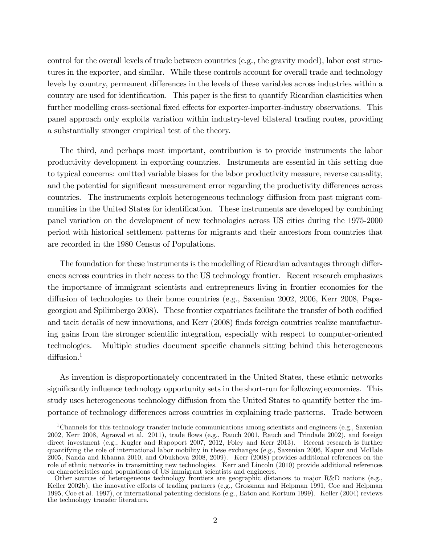control for the overall levels of trade between countries (e.g., the gravity model), labor cost structures in the exporter, and similar. While these controls account for overall trade and technology levels by country, permanent differences in the levels of these variables across industries within a country are used for identification. This paper is the first to quantify Ricardian elasticities when further modelling cross-sectional fixed effects for exporter-importer-industry observations. This panel approach only exploits variation within industry-level bilateral trading routes, providing a substantially stronger empirical test of the theory.

The third, and perhaps most important, contribution is to provide instruments the labor productivity development in exporting countries. Instruments are essential in this setting due to typical concerns: omitted variable biases for the labor productivity measure, reverse causality, and the potential for significant measurement error regarding the productivity differences across countries. The instruments exploit heterogeneous technology diffusion from past migrant communities in the United States for identification. These instruments are developed by combining panel variation on the development of new technologies across US cities during the 1975-2000 period with historical settlement patterns for migrants and their ancestors from countries that are recorded in the 1980 Census of Populations.

The foundation for these instruments is the modelling of Ricardian advantages through differences across countries in their access to the US technology frontier. Recent research emphasizes the importance of immigrant scientists and entrepreneurs living in frontier economies for the diffusion of technologies to their home countries (e.g., Saxenian 2002, 2006, Kerr 2008, Papageorgiou and Spilimbergo 2008). These frontier expatriates facilitate the transfer of both codified and tacit details of new innovations, and Kerr (2008) Önds foreign countries realize manufacturing gains from the stronger scientific integration, especially with respect to computer-oriented technologies. Multiple studies document specific channels sitting behind this heterogeneous  $diffusion.<sup>1</sup>$ 

As invention is disproportionately concentrated in the United States, these ethnic networks significantly influence technology opportunity sets in the short-run for following economies. This study uses heterogeneous technology diffusion from the United States to quantify better the importance of technology differences across countries in explaining trade patterns. Trade between

<sup>&</sup>lt;sup>1</sup>Channels for this technology transfer include communications among scientists and engineers (e.g., Saxenian 2002, Kerr 2008, Agrawal et al. 2011), trade áows (e.g., Rauch 2001, Rauch and Trindade 2002), and foreign direct investment (e.g., Kugler and Rapoport 2007, 2012, Foley and Kerr 2013). Recent research is further quantifying the role of international labor mobility in these exchanges (e.g., Saxenian 2006, Kapur and McHale 2005, Nanda and Khanna 2010, and Obukhova 2008, 2009). Kerr (2008) provides additional references on the role of ethnic networks in transmitting new technologies. Kerr and Lincoln (2010) provide additional references on characteristics and populations of US immigrant scientists and engineers.

Other sources of heterogeneous technology frontiers are geographic distances to major R&D nations (e.g., Keller 2002b), the innovative efforts of trading partners (e.g., Grossman and Helpman 1991, Coe and Helpman 1995, Coe et al. 1997), or international patenting decisions (e.g., Eaton and Kortum 1999). Keller (2004) reviews the technology transfer literature.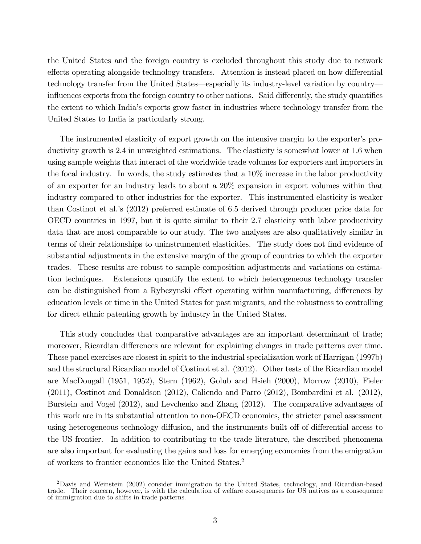the United States and the foreign country is excluded throughout this study due to network effects operating alongside technology transfers. Attention is instead placed on how differential technology transfer from the United States—especially its industry-level variation by country influences exports from the foreign country to other nations. Said differently, the study quantifies the extent to which Indiaís exports grow faster in industries where technology transfer from the United States to India is particularly strong.

The instrumented elasticity of export growth on the intensive margin to the exporter's productivity growth is 2.4 in unweighted estimations. The elasticity is somewhat lower at 1.6 when using sample weights that interact of the worldwide trade volumes for exporters and importers in the focal industry. In words, the study estimates that a 10% increase in the labor productivity of an exporter for an industry leads to about a 20% expansion in export volumes within that industry compared to other industries for the exporter. This instrumented elasticity is weaker than Costinot et al.ís (2012) preferred estimate of 6.5 derived through producer price data for OECD countries in 1997, but it is quite similar to their 2.7 elasticity with labor productivity data that are most comparable to our study. The two analyses are also qualitatively similar in terms of their relationships to uninstrumented elasticities. The study does not find evidence of substantial adjustments in the extensive margin of the group of countries to which the exporter trades. These results are robust to sample composition adjustments and variations on estimation techniques. Extensions quantify the extent to which heterogeneous technology transfer can be distinguished from a Rybczynski effect operating within manufacturing, differences by education levels or time in the United States for past migrants, and the robustness to controlling for direct ethnic patenting growth by industry in the United States.

This study concludes that comparative advantages are an important determinant of trade; moreover, Ricardian differences are relevant for explaining changes in trade patterns over time. These panel exercises are closest in spirit to the industrial specialization work of Harrigan (1997b) and the structural Ricardian model of Costinot et al. (2012). Other tests of the Ricardian model are MacDougall (1951, 1952), Stern (1962), Golub and Hsieh (2000), Morrow (2010), Fieler (2011), Costinot and Donaldson (2012), Caliendo and Parro (2012), Bombardini et al. (2012), Burstein and Vogel (2012), and Levchenko and Zhang (2012). The comparative advantages of this work are in its substantial attention to non-OECD economies, the stricter panel assessment using heterogeneous technology diffusion, and the instruments built off of differential access to the US frontier. In addition to contributing to the trade literature, the described phenomena are also important for evaluating the gains and loss for emerging economies from the emigration of workers to frontier economies like the United States.<sup>2</sup>

<sup>2</sup>Davis and Weinstein (2002) consider immigration to the United States, technology, and Ricardian-based trade. Their concern, however, is with the calculation of welfare consequences for US natives as a consequence of immigration due to shifts in trade patterns.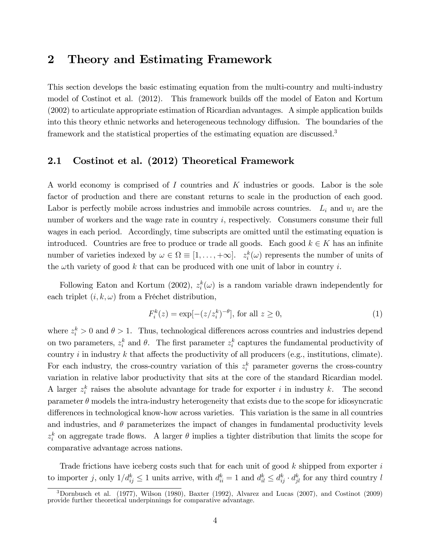## 2 Theory and Estimating Framework

This section develops the basic estimating equation from the multi-country and multi-industry model of Costinot et al. (2012). This framework builds off the model of Eaton and Kortum (2002) to articulate appropriate estimation of Ricardian advantages. A simple application builds into this theory ethnic networks and heterogeneous technology diffusion. The boundaries of the framework and the statistical properties of the estimating equation are discussed.<sup>3</sup>

#### 2.1 Costinot et al. (2012) Theoretical Framework

A world economy is comprised of I countries and K industries or goods. Labor is the sole factor of production and there are constant returns to scale in the production of each good. Labor is perfectly mobile across industries and immobile across countries.  $L_i$  and  $w_i$  are the number of workers and the wage rate in country  $i$ , respectively. Consumers consume their full wages in each period. Accordingly, time subscripts are omitted until the estimating equation is introduced. Countries are free to produce or trade all goods. Each good  $k \in K$  has an infinite number of varieties indexed by  $\omega \in \Omega \equiv [1, \ldots, +\infty]$ .  $z_i^k(\omega)$  represents the number of units of the  $\omega$ th variety of good k that can be produced with one unit of labor in country i.

Following Eaton and Kortum (2002),  $z_i^k(\omega)$  is a random variable drawn independently for each triplet  $(i, k, \omega)$  from a Fréchet distribution,

$$
F_i^k(z) = \exp[-(z/z_i^k)^{-\theta}], \text{ for all } z \ge 0,
$$
 (1)

where  $z_i^k > 0$  and  $\theta > 1$ . Thus, technological differences across countries and industries depend on two parameters,  $z_i^k$  and  $\theta$ . The first parameter  $z_i^k$  captures the fundamental productivity of country  $i$  in industry  $k$  that affects the productivity of all producers (e.g., institutions, climate). For each industry, the cross-country variation of this  $z_i^k$  parameter governs the cross-country variation in relative labor productivity that sits at the core of the standard Ricardian model. A larger  $z_i^k$  raises the absolute advantage for trade for exporter i in industry k. The second parameter  $\theta$  models the intra-industry heterogeneity that exists due to the scope for idiosyncratic differences in technological know-how across varieties. This variation is the same in all countries and industries, and  $\theta$  parameterizes the impact of changes in fundamental productivity levels  $z_i^k$  on aggregate trade flows. A larger  $\theta$  implies a tighter distribution that limits the scope for comparative advantage across nations.

Trade frictions have iceberg costs such that for each unit of good  $k$  shipped from exporter  $i$ to importer j, only  $1/d_{ij}^k \leq 1$  units arrive, with  $d_{ii}^k = 1$  and  $d_{il}^k \leq d_{ij}^k \cdot d_{jl}^k$  for any third country l

 $3$ Dornbusch et al. (1977), Wilson (1980), Baxter (1992), Alvarez and Lucas (2007), and Costinot (2009) provide further theoretical underpinnings for comparative advantage.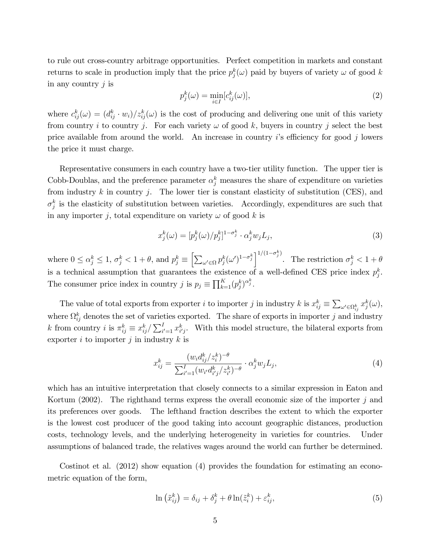to rule out cross-country arbitrage opportunities. Perfect competition in markets and constant returns to scale in production imply that the price  $p_j^k(\omega)$  paid by buyers of variety  $\omega$  of good k in any country  $j$  is

$$
p_j^k(\omega) = \min_{i \in I} [c_{ij}^k(\omega)], \qquad (2)
$$

where  $c_{ij}^k(\omega) = (d_{ij}^k \cdot w_i)/z_{ij}^k(\omega)$  is the cost of producing and delivering one unit of this variety from country i to country j. For each variety  $\omega$  of good k, buyers in country j select the best price available from around the world. An increase in country is efficiency for good j lowers the price it must charge.

Representative consumers in each country have a two-tier utility function. The upper tier is Cobb-Doublas, and the preference parameter  $\alpha_j^k$  measures the share of expenditure on varieties from industry  $k$  in country  $j$ . The lower tier is constant elasticity of substitution (CES), and  $\sigma_j^k$  is the elasticity of substitution between varieties. Accordingly, expenditures are such that in any importer j, total expenditure on variety  $\omega$  of good k is

$$
x_j^k(\omega) = [p_j^k(\omega)/p_j^k]^{1-\sigma_j^k} \cdot \alpha_j^k w_j L_j,
$$
\n(3)

where  $0 \le \alpha_j^k \le 1$ ,  $\sigma_j^k < 1 + \theta$ , and  $p_j^k \equiv \left[ \sum_{\omega' \in \Omega} p_j^k (\omega')^{1-\sigma_j^k} \right]^{1/(1-\sigma_j^k)}$ . The restriction  $\sigma_j^k < 1 + \theta$ is a technical assumption that guarantees the existence of a well-defined CES price index  $p_j^k$ . The consumer price index in country j is  $p_j \equiv \prod_{k=1}^K (p_j^k)^{\alpha_j^k}$ .

The value of total exports from exporter *i* to importer *j* in industry *k* is  $x_{ij}^k \equiv \sum_{\omega' \in \Omega_{ij}^k} x_j^k(\omega)$ , where  $\Omega_{ij}^k$  denotes the set of varieties exported. The share of exports in importer j and industry k from country *i* is  $\pi_{ij}^k \equiv x_{ij}^k / \sum_{i'=1}^I x_{i'j}^k$ . With this model structure, the bilateral exports from exporter i to importer j in industry  $k$  is

$$
x_{ij}^k = \frac{(w_i d_{ij}^k / z_i^k)^{-\theta}}{\sum_{i'=1}^I (w_{i'} d_{i'j}^k / z_{i'}^k)^{-\theta}} \cdot \alpha_j^k w_j L_j,
$$
\n<sup>(4)</sup>

which has an intuitive interpretation that closely connects to a similar expression in Eaton and Kortum (2002). The righthand terms express the overall economic size of the importer  $j$  and its preferences over goods. The lefthand fraction describes the extent to which the exporter is the lowest cost producer of the good taking into account geographic distances, production costs, technology levels, and the underlying heterogeneity in varieties for countries. Under assumptions of balanced trade, the relatives wages around the world can further be determined.

Costinot et al. (2012) show equation (4) provides the foundation for estimating an econometric equation of the form,

$$
\ln\left(\tilde{x}_{ij}^k\right) = \delta_{ij} + \delta_j^k + \theta \ln(\tilde{z}_i^k) + \varepsilon_{ij}^k,\tag{5}
$$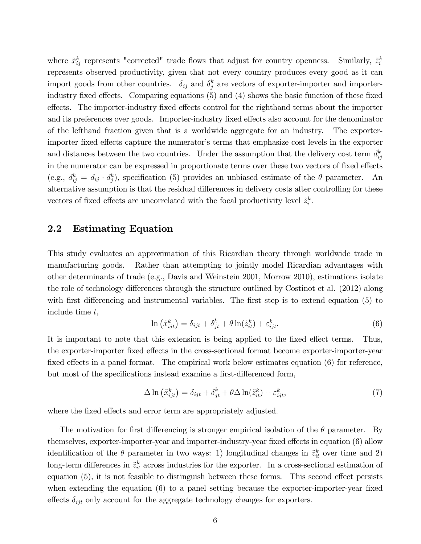where  $\tilde{x}_{ij}^k$  represents "corrected" trade flows that adjust for country openness. Similarly,  $\tilde{z}_i$ k i represents observed productivity, given that not every country produces every good as it can import goods from other countries.  $\delta_{ij}$  and  $\delta_j^k$  are vectors of exporter-importer and importerindustry fixed effects. Comparing equations  $(5)$  and  $(4)$  shows the basic function of these fixed effects. The importer-industry fixed effects control for the righthand terms about the importer and its preferences over goods. Importer-industry fixed effects also account for the denominator of the lefthand fraction given that is a worldwide aggregate for an industry. The exporterimporter fixed effects capture the numerator's terms that emphasize cost levels in the exporter and distances between the two countries. Under the assumption that the delivery cost term  $d_{ij}^k$ in the numerator can be expressed in proportionate terms over these two vectors of fixed effects (e.g.,  $d_{ij}^k = d_{ij} \cdot d_j^k$ ), specification (5) provides an unbiased estimate of the  $\theta$  parameter. An alternative assumption is that the residual differences in delivery costs after controlling for these vectors of fixed effects are uncorrelated with the focal productivity level  $\tilde{z}_i^k$ .

#### 2.2 Estimating Equation

This study evaluates an approximation of this Ricardian theory through worldwide trade in manufacturing goods. Rather than attempting to jointly model Ricardian advantages with other determinants of trade (e.g., Davis and Weinstein 2001, Morrow 2010), estimations isolate the role of technology differences through the structure outlined by Costinot et al. (2012) along with first differencing and instrumental variables. The first step is to extend equation  $(5)$  to include time t,

$$
\ln\left(\tilde{x}_{ijt}^k\right) = \delta_{ijt} + \delta_{jt}^k + \theta \ln(\tilde{z}_{it}^k) + \varepsilon_{ijt}^k.
$$
\n<sup>(6)</sup>

It is important to note that this extension is being applied to the fixed effect terms. Thus, the exporter-importer fixed effects in the cross-sectional format become exporter-importer-year fixed effects in a panel format. The empirical work below estimates equation  $(6)$  for reference, but most of the specifications instead examine a first-differenced form,

$$
\Delta \ln \left( \tilde{x}_{ijt}^k \right) = \delta_{ijt} + \delta_{jt}^k + \theta \Delta \ln(\tilde{z}_{it}^k) + \varepsilon_{ijt}^k, \tag{7}
$$

where the fixed effects and error term are appropriately adjusted.

The motivation for first differencing is stronger empirical isolation of the  $\theta$  parameter. By themselves, exporter-importer-year and importer-industry-year fixed effects in equation (6) allow identification of the  $\theta$  parameter in two ways: 1) longitudinal changes in  $\tilde{z}^k_{it}$  over time and 2) long-term differences in  $\tilde{z}_{it}^k$  across industries for the exporter. In a cross-sectional estimation of equation  $(5)$ , it is not feasible to distinguish between these forms. This second effect persists when extending the equation  $(6)$  to a panel setting because the exporter-importer-year fixed effects  $\delta_{ijt}$  only account for the aggregate technology changes for exporters.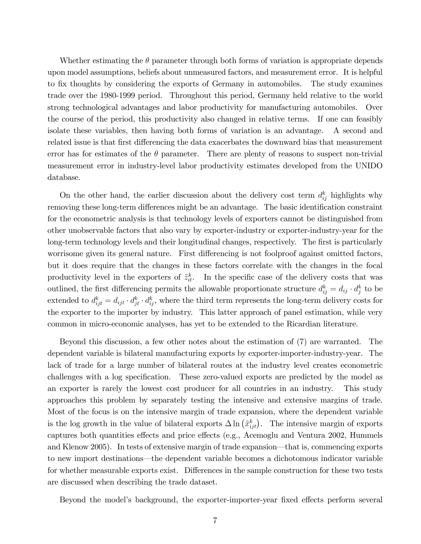Whether estimating the  $\theta$  parameter through both forms of variation is appropriate depends upon model assumptions, beliefs about unmeasured factors, and measurement error. It is helpful to fix thoughts by considering the exports of Germany in automobiles. The study examines trade over the 1980-1999 period. Throughout this period, Germany held relative to the world strong technological advantages and labor productivity for manufacturing automobiles. Over the course of the period, this productivity also changed in relative terms. If one can feasibly isolate these variables, then having both forms of variation is an advantage. A second and related issue is that first differencing the data exacerbates the downward bias that measurement error has for estimates of the  $\theta$  parameter. There are plenty of reasons to suspect non-trivial measurement error in industry-level labor productivity estimates developed from the UNIDO database.

On the other hand, the earlier discussion about the delivery cost term  $d_{ij}^k$  highlights why removing these long-term differences might be an advantage. The basic identification constraint for the econometric analysis is that technology levels of exporters cannot be distinguished from other unobservable factors that also vary by exporter-industry or exporter-industry-year for the long-term technology levels and their longitudinal changes, respectively. The first is particularly worrisome given its general nature. First differencing is not foolproof against omitted factors, but it does require that the changes in these factors correlate with the changes in the focal productivity level in the exporters of  $\tilde{z}_{it}^k$ . In the specific case of the delivery costs that was outlined, the first differencing permits the allowable proportionate structure  $d_{ij}^k = d_{ij} \cdot d_j^k$  to be extended to  $d_{ijt}^k = d_{ijt} \cdot d_{jt}^k \cdot d_{ij}^k$ , where the third term represents the long-term delivery costs for the exporter to the importer by industry. This latter approach of panel estimation, while very common in micro-economic analyses, has yet to be extended to the Ricardian literature.

Beyond this discussion, a few other notes about the estimation of (7) are warranted. The dependent variable is bilateral manufacturing exports by exporter-importer-industry-year. The lack of trade for a large number of bilateral routes at the industry level creates econometric challenges with a log specification. These zero-valued exports are predicted by the model as an exporter is rarely the lowest cost producer for all countries in an industry. This study approaches this problem by separately testing the intensive and extensive margins of trade. Most of the focus is on the intensive margin of trade expansion, where the dependent variable is the log growth in the value of bilateral exports  $\Delta \ln (\tilde{x}_{ijt}^k)$ . The intensive margin of exports captures both quantities effects and price effects (e.g., Acemoglu and Ventura 2002, Hummels and Klenow 2005). In tests of extensive margin of trade expansion—that is, commencing exports to new import destinations—the dependent variable becomes a dichotomous indicator variable for whether measurable exports exist. Differences in the sample construction for these two tests are discussed when describing the trade dataset.

Beyond the model's background, the exporter-importer-year fixed effects perform several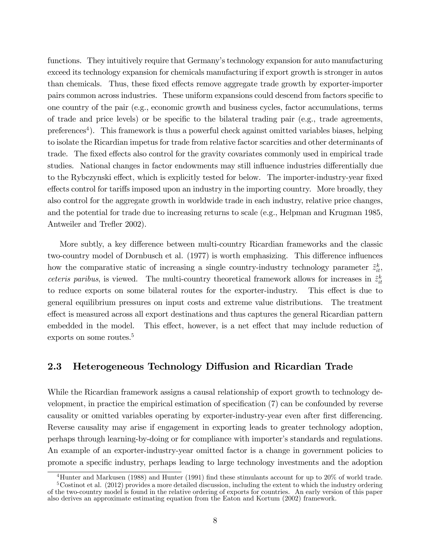functions. They intuitively require that Germany's technology expansion for auto manufacturing exceed its technology expansion for chemicals manufacturing if export growth is stronger in autos than chemicals. Thus, these fixed effects remove aggregate trade growth by exporter-importer pairs common across industries. These uniform expansions could descend from factors specific to one country of the pair (e.g., economic growth and business cycles, factor accumulations, terms of trade and price levels) or be specific to the bilateral trading pair (e.g., trade agreements, preferences<sup>4</sup>). This framework is thus a powerful check against omitted variables biases, helping to isolate the Ricardian impetus for trade from relative factor scarcities and other determinants of trade. The fixed effects also control for the gravity covariates commonly used in empirical trade studies. National changes in factor endowments may still influence industries differentially due to the Rybczynski effect, which is explicitly tested for below. The importer-industry-year fixed effects control for tariffs imposed upon an industry in the importing country. More broadly, they also control for the aggregate growth in worldwide trade in each industry, relative price changes, and the potential for trade due to increasing returns to scale (e.g., Helpman and Krugman 1985, Antweiler and Trefler 2002).

More subtly, a key difference between multi-country Ricardian frameworks and the classic two-country model of Dornbusch et al. (1977) is worth emphasizing. This difference influences how the comparative static of increasing a single country-industry technology parameter  $\tilde{z}_{it}^k$ , ceteris paribus, is viewed. The multi-country theoretical framework allows for increases in  $\tilde{z}_{it}^k$ to reduce exports on some bilateral routes for the exporter-industry. This effect is due to general equilibrium pressures on input costs and extreme value distributions. The treatment effect is measured across all export destinations and thus captures the general Ricardian pattern embedded in the model. This effect, however, is a net effect that may include reduction of exports on some routes.<sup>5</sup>

#### 2.3 Heterogeneous Technology Diffusion and Ricardian Trade

While the Ricardian framework assigns a causal relationship of export growth to technology development, in practice the empirical estimation of specification  $(7)$  can be confounded by reverse causality or omitted variables operating by exporter-industry-year even after first differencing. Reverse causality may arise if engagement in exporting leads to greater technology adoption, perhaps through learning-by-doing or for compliance with importer's standards and regulations. An example of an exporter-industry-year omitted factor is a change in government policies to promote a speciÖc industry, perhaps leading to large technology investments and the adoption

<sup>4</sup>Hunter and Markusen (1988) and Hunter (1991) Önd these stimulants account for up to 20% of world trade.

<sup>5</sup>Costinot et al. (2012) provides a more detailed discussion, including the extent to which the industry ordering of the two-country model is found in the relative ordering of exports for countries. An early version of this paper also derives an approximate estimating equation from the Eaton and Kortum (2002) framework.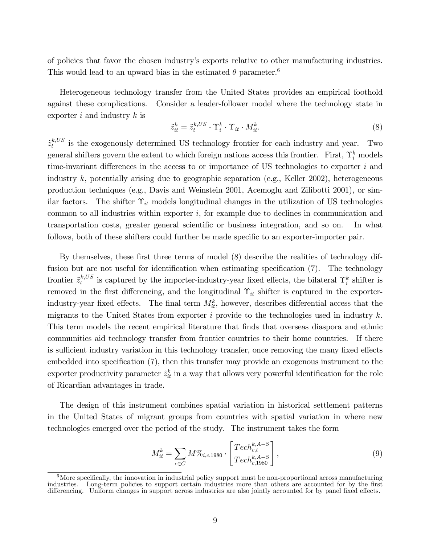of policies that favor the chosen industryís exports relative to other manufacturing industries. This would lead to an upward bias in the estimated  $\theta$  parameter.<sup>6</sup>

Heterogeneous technology transfer from the United States provides an empirical foothold against these complications. Consider a leader-follower model where the technology state in exporter i and industry  $k$  is

$$
\tilde{z}_{it}^k = \tilde{z}_t^{k,US} \cdot \Upsilon_i^k \cdot \Upsilon_{it} \cdot M_{it}^k. \tag{8}
$$

 $\tilde{z}_{t}^{k,US}$  $t^{k,0}$  is the exogenously determined US technology frontier for each industry and year. Two general shifters govern the extent to which foreign nations access this frontier. First,  $\Upsilon_i^k$  models time-invariant differences in the access to or importance of US technologies to exporter  $i$  and industry  $k$ , potentially arising due to geographic separation (e.g., Keller 2002), heterogeneous production techniques (e.g., Davis and Weinstein 2001, Acemoglu and Zilibotti 2001), or similar factors. The shifter  $\Upsilon_{it}$  models longitudinal changes in the utilization of US technologies common to all industries within exporter  $i$ , for example due to declines in communication and transportation costs, greater general scientific or business integration, and so on. In what follows, both of these shifters could further be made specific to an exporter-importer pair.

By themselves, these first three terms of model (8) describe the realities of technology diffusion but are not useful for identification when estimating specification  $(7)$ . The technology frontier  $\tilde{z}_t^{k,US}$  $t^{k,US}_{t}$  is captured by the importer-industry-year fixed effects, the bilateral  $\Upsilon_i^k$  shifter is removed in the first differencing, and the longitudinal  $\Upsilon_{it}$  shifter is captured in the exporterindustry-year fixed effects. The final term  $M_{it}^k$ , however, describes differential access that the migrants to the United States from exporter  $i$  provide to the technologies used in industry  $k$ . This term models the recent empirical literature that finds that overseas diaspora and ethnic communities aid technology transfer from frontier countries to their home countries. If there is sufficient industry variation in this technology transfer, once removing the many fixed effects embedded into specification (7), then this transfer may provide an exogenous instrument to the exporter productivity parameter  $\tilde{z}_{it}^k$  in a way that allows very powerful identification for the role of Ricardian advantages in trade.

The design of this instrument combines spatial variation in historical settlement patterns in the United States of migrant groups from countries with spatial variation in where new technologies emerged over the period of the study. The instrument takes the form

$$
M_{it}^{k} = \sum_{c \in C} M \%_{i, c, 1980} \cdot \left[ \frac{Tech_{c, t}^{k, A-S}}{Tech_{c, 1980}^{k, A-S}} \right],
$$
\n(9)

 $6\text{More specifically, the innovation in industrial policy support must be non-proportional across manufacturing.}$ industries. Long-term policies to support certain industries more than others are accounted for by the first differencing. Uniform changes in support across industries are also jointly accounted for by panel fixed effects.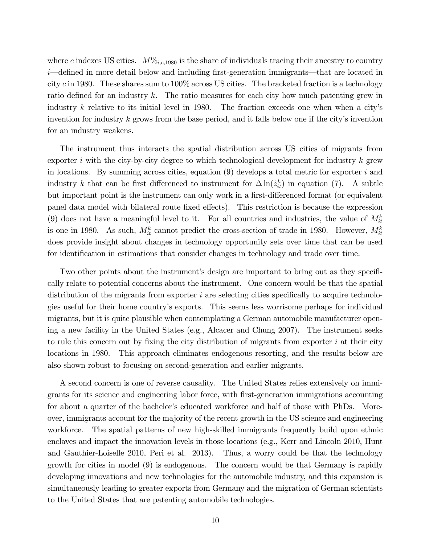where c indexes US cities.  $M\%_{i,c,1980}$  is the share of individuals tracing their ancestry to country  $i$ —defined in more detail below and including first-generation immigrants—that are located in city c in 1980. These shares sum to  $100\%$  across US cities. The bracketed fraction is a technology ratio defined for an industry  $k$ . The ratio measures for each city how much patenting grew in industry  $k$  relative to its initial level in 1980. The fraction exceeds one when when a city's invention for industry  $k$  grows from the base period, and it falls below one if the city's invention for an industry weakens.

The instrument thus interacts the spatial distribution across US cities of migrants from exporter i with the city-by-city degree to which technological development for industry  $k$  grew in locations. By summing across cities, equation  $(9)$  develops a total metric for exporter i and industry k that can be first differenced to instrument for  $\Delta \ln(\tilde{z}_{it}^k)$  in equation (7). A subtle but important point is the instrument can only work in a first-differenced format (or equivalent panel data model with bilateral route fixed effects). This restriction is because the expression (9) does not have a meaningful level to it. For all countries and industries, the value of  $M_{it}^k$ is one in 1980. As such,  $M_{it}^k$  cannot predict the cross-section of trade in 1980. However,  $M_{it}^k$ does provide insight about changes in technology opportunity sets over time that can be used for identification in estimations that consider changes in technology and trade over time.

Two other points about the instrument's design are important to bring out as they specifically relate to potential concerns about the instrument. One concern would be that the spatial distribution of the migrants from exporter  $i$  are selecting cities specifically to acquire technologies useful for their home countryís exports. This seems less worrisome perhaps for individual migrants, but it is quite plausible when contemplating a German automobile manufacturer opening a new facility in the United States (e.g., Alcacer and Chung 2007). The instrument seeks to rule this concern out by fixing the city distribution of migrants from exporter  $i$  at their city locations in 1980. This approach eliminates endogenous resorting, and the results below are also shown robust to focusing on second-generation and earlier migrants.

A second concern is one of reverse causality. The United States relies extensively on immigrants for its science and engineering labor force, with first-generation immigrations accounting for about a quarter of the bachelor's educated workforce and half of those with PhDs. Moreover, immigrants account for the majority of the recent growth in the US science and engineering workforce. The spatial patterns of new high-skilled immigrants frequently build upon ethnic enclaves and impact the innovation levels in those locations (e.g., Kerr and Lincoln 2010, Hunt and Gauthier-Loiselle 2010, Peri et al. 2013). Thus, a worry could be that the technology growth for cities in model (9) is endogenous. The concern would be that Germany is rapidly developing innovations and new technologies for the automobile industry, and this expansion is simultaneously leading to greater exports from Germany and the migration of German scientists to the United States that are patenting automobile technologies.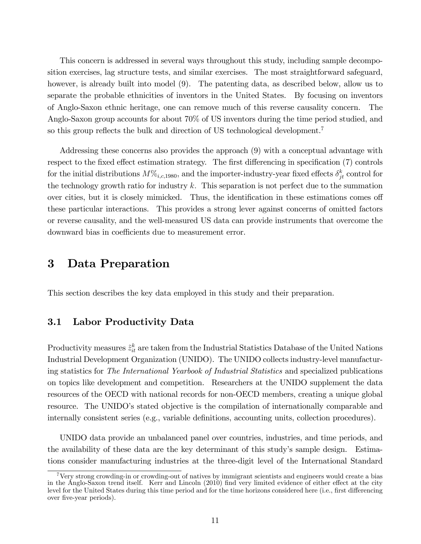This concern is addressed in several ways throughout this study, including sample decomposition exercises, lag structure tests, and similar exercises. The most straightforward safeguard, however, is already built into model  $(9)$ . The patenting data, as described below, allow us to separate the probable ethnicities of inventors in the United States. By focusing on inventors of Anglo-Saxon ethnic heritage, one can remove much of this reverse causality concern. The Anglo-Saxon group accounts for about 70% of US inventors during the time period studied, and so this group reflects the bulk and direction of US technological development.<sup>7</sup>

Addressing these concerns also provides the approach (9) with a conceptual advantage with respect to the fixed effect estimation strategy. The first differencing in specification (7) controls for the initial distributions  $M\%_{i,c,1980}$ , and the importer-industry-year fixed effects  $\delta^k_{jt}$  control for the technology growth ratio for industry  $k$ . This separation is not perfect due to the summation over cities, but it is closely mimicked. Thus, the identification in these estimations comes off these particular interactions. This provides a strong lever against concerns of omitted factors or reverse causality, and the well-measured US data can provide instruments that overcome the downward bias in coefficients due to measurement error.

## 3 Data Preparation

This section describes the key data employed in this study and their preparation.

#### 3.1 Labor Productivity Data

Productivity measures  $\tilde{z}_{it}^k$  are taken from the Industrial Statistics Database of the United Nations Industrial Development Organization (UNIDO). The UNIDO collects industry-level manufacturing statistics for The International Yearbook of Industrial Statistics and specialized publications on topics like development and competition. Researchers at the UNIDO supplement the data resources of the OECD with national records for non-OECD members, creating a unique global resource. The UNIDO's stated objective is the compilation of internationally comparable and internally consistent series (e.g., variable definitions, accounting units, collection procedures).

UNIDO data provide an unbalanced panel over countries, industries, and time periods, and the availability of these data are the key determinant of this study's sample design. Estimations consider manufacturing industries at the three-digit level of the International Standard

<sup>&</sup>lt;sup>7</sup>Very strong crowding-in or crowding-out of natives by immigrant scientists and engineers would create a bias in the Anglo-Saxon trend itself. Kerr and Lincoln (2010) find very limited evidence of either effect at the city level for the United States during this time period and for the time horizons considered here (i.e., first differencing over five-year periods).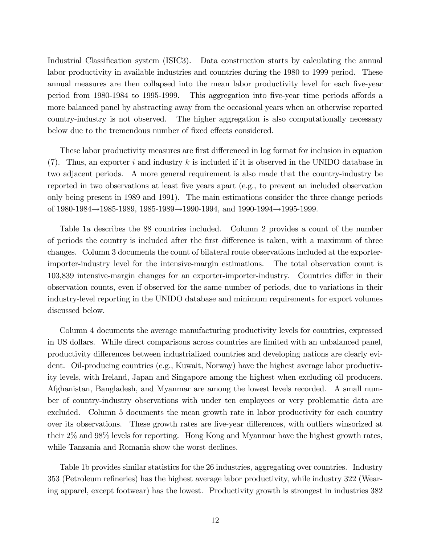Industrial Classification system (ISIC3). Data construction starts by calculating the annual labor productivity in available industries and countries during the 1980 to 1999 period. These annual measures are then collapsed into the mean labor productivity level for each five-year period from 1980-1984 to 1995-1999. This aggregation into five-year time periods affords a more balanced panel by abstracting away from the occasional years when an otherwise reported country-industry is not observed. The higher aggregation is also computationally necessary below due to the tremendous number of fixed effects considered.

These labor productivity measures are first differenced in log format for inclusion in equation  $(7)$ . Thus, an exporter i and industry k is included if it is observed in the UNIDO database in two adjacent periods. A more general requirement is also made that the country-industry be reported in two observations at least Öve years apart (e.g., to prevent an included observation only being present in 1989 and 1991). The main estimations consider the three change periods of  $1980-1984 \rightarrow 1985-1989$ ,  $1985-1989 \rightarrow 1990-1994$ , and  $1990-1994 \rightarrow 1995-1999$ .

Table 1a describes the 88 countries included. Column 2 provides a count of the number of periods the country is included after the first difference is taken, with a maximum of three changes. Column 3 documents the count of bilateral route observations included at the exporterimporter-industry level for the intensive-margin estimations. The total observation count is 103,839 intensive-margin changes for an exporter-importer-industry. Countries differ in their observation counts, even if observed for the same number of periods, due to variations in their industry-level reporting in the UNIDO database and minimum requirements for export volumes discussed below.

Column 4 documents the average manufacturing productivity levels for countries, expressed in US dollars. While direct comparisons across countries are limited with an unbalanced panel, productivity differences between industrialized countries and developing nations are clearly evident. Oil-producing countries (e.g., Kuwait, Norway) have the highest average labor productivity levels, with Ireland, Japan and Singapore among the highest when excluding oil producers. Afghanistan, Bangladesh, and Myanmar are among the lowest levels recorded. A small number of country-industry observations with under ten employees or very problematic data are excluded. Column 5 documents the mean growth rate in labor productivity for each country over its observations. These growth rates are five-year differences, with outliers winsorized at their 2% and 98% levels for reporting. Hong Kong and Myanmar have the highest growth rates, while Tanzania and Romania show the worst declines.

Table 1b provides similar statistics for the 26 industries, aggregating over countries. Industry 353 (Petroleum refineries) has the highest average labor productivity, while industry 322 (Wearing apparel, except footwear) has the lowest. Productivity growth is strongest in industries 382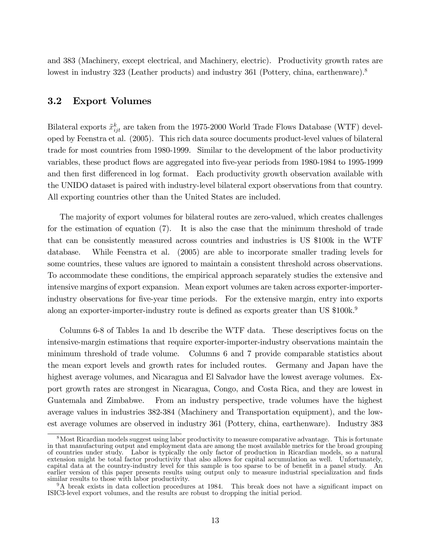and 383 (Machinery, except electrical, and Machinery, electric). Productivity growth rates are lowest in industry 323 (Leather products) and industry 361 (Pottery, china, earthenware).<sup>8</sup>

#### 3.2 Export Volumes

Bilateral exports  $\tilde{x}_{ijt}^k$  are taken from the 1975-2000 World Trade Flows Database (WTF) developed by Feenstra et al. (2005). This rich data source documents product-level values of bilateral trade for most countries from 1980-1999. Similar to the development of the labor productivity variables, these product flows are aggregated into five-year periods from 1980-1984 to 1995-1999 and then first differenced in log format. Each productivity growth observation available with the UNIDO dataset is paired with industry-level bilateral export observations from that country. All exporting countries other than the United States are included.

The majority of export volumes for bilateral routes are zero-valued, which creates challenges for the estimation of equation (7). It is also the case that the minimum threshold of trade that can be consistently measured across countries and industries is US \$100k in the WTF database. While Feenstra et al. (2005) are able to incorporate smaller trading levels for some countries, these values are ignored to maintain a consistent threshold across observations. To accommodate these conditions, the empirical approach separately studies the extensive and intensive margins of export expansion. Mean export volumes are taken across exporter-importerindustry observations for Öve-year time periods. For the extensive margin, entry into exports along an exporter-importer-industry route is defined as exports greater than US  $\$100\mathrm{k}.^9$ 

Columns 6-8 of Tables 1a and 1b describe the WTF data. These descriptives focus on the intensive-margin estimations that require exporter-importer-industry observations maintain the minimum threshold of trade volume. Columns 6 and 7 provide comparable statistics about the mean export levels and growth rates for included routes. Germany and Japan have the highest average volumes, and Nicaragua and El Salvador have the lowest average volumes. Export growth rates are strongest in Nicaragua, Congo, and Costa Rica, and they are lowest in Guatemala and Zimbabwe. From an industry perspective, trade volumes have the highest average values in industries 382-384 (Machinery and Transportation equipment), and the lowest average volumes are observed in industry 361 (Pottery, china, earthenware). Industry 383

<sup>&</sup>lt;sup>8</sup>Most Ricardian models suggest using labor productivity to measure comparative advantage. This is fortunate in that manufacturing output and employment data are among the most available metrics for the broad grouping of countries under study. Labor is typically the only factor of production in Ricardian models, so a natural extension might be total factor productivity that also allows for capital accumulation as well. Unfortunately, capital data at the country-industry level for this sample is too sparse to be of benefit in a panel study. An earlier version of this paper presents results using output only to measure industrial specialization and finds similar results to those with labor productivity.

 $9A$  break exists in data collection procedures at 1984. This break does not have a significant impact on ISIC3-level export volumes, and the results are robust to dropping the initial period.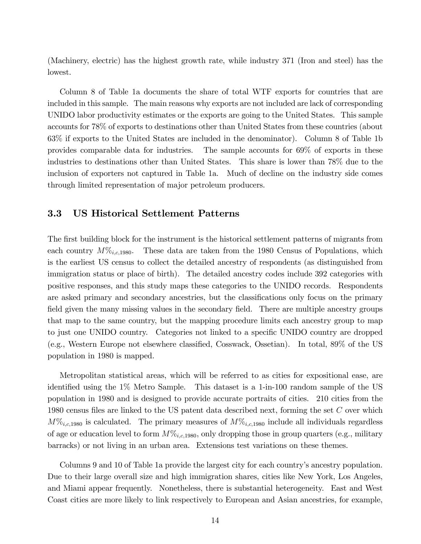(Machinery, electric) has the highest growth rate, while industry 371 (Iron and steel) has the lowest.

Column 8 of Table 1a documents the share of total WTF exports for countries that are included in this sample. The main reasons why exports are not included are lack of corresponding UNIDO labor productivity estimates or the exports are going to the United States. This sample accounts for 78% of exports to destinations other than United States from these countries (about 63% if exports to the United States are included in the denominator). Column 8 of Table 1b provides comparable data for industries. The sample accounts for 69% of exports in these industries to destinations other than United States. This share is lower than 78% due to the inclusion of exporters not captured in Table 1a. Much of decline on the industry side comes through limited representation of major petroleum producers.

#### 3.3 US Historical Settlement Patterns

The first building block for the instrument is the historical settlement patterns of migrants from each country  $M\%_{i,c,1980}$ . These data are taken from the 1980 Census of Populations, which is the earliest US census to collect the detailed ancestry of respondents (as distinguished from immigration status or place of birth). The detailed ancestry codes include 392 categories with positive responses, and this study maps these categories to the UNIDO records. Respondents are asked primary and secondary ancestries, but the classifications only focus on the primary field given the many missing values in the secondary field. There are multiple ancestry groups that map to the same country, but the mapping procedure limits each ancestry group to map to just one UNIDO country. Categories not linked to a specific UNIDO country are dropped (e.g., Western Europe not elsewhere classified, Cosswack, Ossetian). In total,  $89\%$  of the US population in 1980 is mapped.

Metropolitan statistical areas, which will be referred to as cities for expositional ease, are identified using the  $1\%$  Metro Sample. This dataset is a 1-in-100 random sample of the US population in 1980 and is designed to provide accurate portraits of cities. 210 cities from the 1980 census files are linked to the US patent data described next, forming the set  $C$  over which  $M\%_{i,c,1980}$  is calculated. The primary measures of  $M\%_{i,c,1980}$  include all individuals regardless of age or education level to form  $M\%_{i,c,1980}$ , only dropping those in group quarters (e.g., military barracks) or not living in an urban area. Extensions test variations on these themes.

Columns 9 and 10 of Table 1a provide the largest city for each country's ancestry population. Due to their large overall size and high immigration shares, cities like New York, Los Angeles, and Miami appear frequently. Nonetheless, there is substantial heterogeneity. East and West Coast cities are more likely to link respectively to European and Asian ancestries, for example,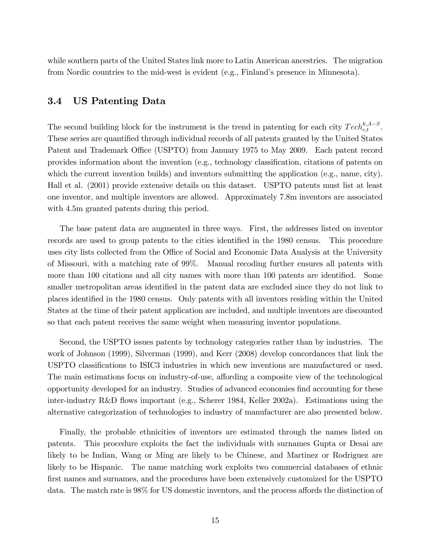while southern parts of the United States link more to Latin American ancestries. The migration from Nordic countries to the mid-west is evident (e.g., Finland's presence in Minnesota).

#### 3.4 US Patenting Data

The second building block for the instrument is the trend in patenting for each city  $Tech_{c,t}^{k,A-S}$ . These series are quantified through individual records of all patents granted by the United States Patent and Trademark Office (USPTO) from January 1975 to May 2009. Each patent record provides information about the invention (e.g., technology classification, citations of patents on which the current invention builds) and inventors submitting the application (e.g., name, city). Hall et al. (2001) provide extensive details on this dataset. USPTO patents must list at least one inventor, and multiple inventors are allowed. Approximately 7.8m inventors are associated with 4.5m granted patents during this period.

The base patent data are augmented in three ways. First, the addresses listed on inventor records are used to group patents to the cities identified in the 1980 census. This procedure uses city lists collected from the Office of Social and Economic Data Analysis at the University of Missouri, with a matching rate of 99%. Manual recoding further ensures all patents with more than 100 citations and all city names with more than 100 patents are identified. Some smaller metropolitan areas identified in the patent data are excluded since they do not link to places identified in the 1980 census. Only patents with all inventors residing within the United States at the time of their patent application are included, and multiple inventors are discounted so that each patent receives the same weight when measuring inventor populations.

Second, the USPTO issues patents by technology categories rather than by industries. The work of Johnson (1999), Silverman (1999), and Kerr (2008) develop concordances that link the USPTO classifications to ISIC3 industries in which new inventions are manufactured or used. The main estimations focus on industry-of-use, affording a composite view of the technological opportunity developed for an industry. Studies of advanced economies find accounting for these inter-industry R&D flows important (e.g., Scherer 1984, Keller 2002a). Estimations using the alternative categorization of technologies to industry of manufacturer are also presented below.

Finally, the probable ethnicities of inventors are estimated through the names listed on patents. This procedure exploits the fact the individuals with surnames Gupta or Desai are likely to be Indian, Wang or Ming are likely to be Chinese, and Martinez or Rodriguez are likely to be Hispanic. The name matching work exploits two commercial databases of ethnic first names and surnames, and the procedures have been extensively customized for the USPTO data. The match rate is 98% for US domestic inventors, and the process affords the distinction of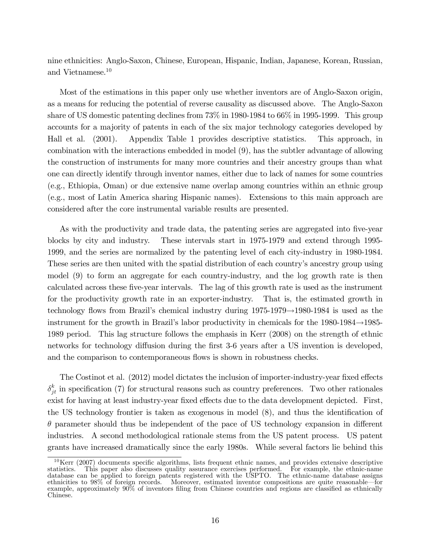nine ethnicities: Anglo-Saxon, Chinese, European, Hispanic, Indian, Japanese, Korean, Russian, and Vietnamese.<sup>10</sup>

Most of the estimations in this paper only use whether inventors are of Anglo-Saxon origin, as a means for reducing the potential of reverse causality as discussed above. The Anglo-Saxon share of US domestic patenting declines from 73% in 1980-1984 to 66% in 1995-1999. This group accounts for a majority of patents in each of the six major technology categories developed by Hall et al. (2001). Appendix Table 1 provides descriptive statistics. This approach, in combination with the interactions embedded in model (9), has the subtler advantage of allowing the construction of instruments for many more countries and their ancestry groups than what one can directly identify through inventor names, either due to lack of names for some countries (e.g., Ethiopia, Oman) or due extensive name overlap among countries within an ethnic group (e.g., most of Latin America sharing Hispanic names). Extensions to this main approach are considered after the core instrumental variable results are presented.

As with the productivity and trade data, the patenting series are aggregated into five-year blocks by city and industry. These intervals start in 1975-1979 and extend through 1995- 1999, and the series are normalized by the patenting level of each city-industry in 1980-1984. These series are then united with the spatial distribution of each country's ancestry group using model (9) to form an aggregate for each country-industry, and the log growth rate is then calculated across these Öve-year intervals. The lag of this growth rate is used as the instrument for the productivity growth rate in an exporter-industry. That is, the estimated growth in technology flows from Brazil's chemical industry during  $1975-1979 \rightarrow 1980-1984$  is used as the instrument for the growth in Brazil's labor productivity in chemicals for the  $1980-1984 \rightarrow 1985-1985$ 1989 period. This lag structure follows the emphasis in Kerr (2008) on the strength of ethnic networks for technology diffusion during the first 3-6 years after a US invention is developed, and the comparison to contemporaneous flows is shown in robustness checks.

The Costinot et al. (2012) model dictates the inclusion of importer-industry-year fixed effects  $\delta_{jt}^k$  in specification (7) for structural reasons such as country preferences. Two other rationales exist for having at least industry-year fixed effects due to the data development depicted. First, the US technology frontier is taken as exogenous in model  $(8)$ , and thus the identification of  $\theta$  parameter should thus be independent of the pace of US technology expansion in different industries. A second methodological rationale stems from the US patent process. US patent grants have increased dramatically since the early 1980s. While several factors lie behind this

 $10$ Kerr (2007) documents specific algorithms, lists frequent ethnic names, and provides extensive descriptive statistics. This paper also discusses quality assurance exercises performed. For example, the ethnic-name database can be applied to foreign patents registered with the USPTO. The ethnic-name database assigns ethnicities to 98% of foreign records. Moreover, estimated inventor compositions are quite reasonable—for example, approximately  $90\%$  of inventors filing from Chinese countries and regions are classified as ethnically Chinese.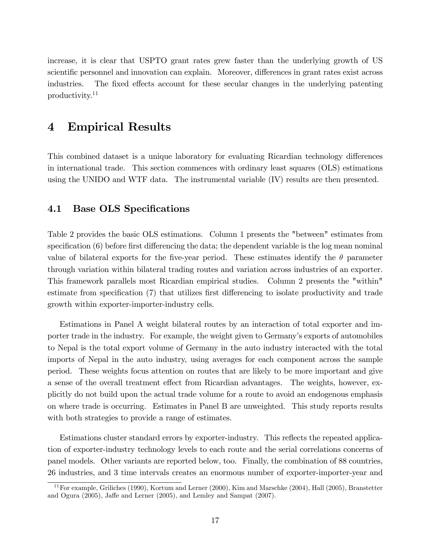increase, it is clear that USPTO grant rates grew faster than the underlying growth of US scientific personnel and innovation can explain. Moreover, differences in grant rates exist across industries. The fixed effects account for these secular changes in the underlying patenting productivity.<sup>11</sup>

## 4 Empirical Results

This combined dataset is a unique laboratory for evaluating Ricardian technology differences in international trade. This section commences with ordinary least squares (OLS) estimations using the UNIDO and WTF data. The instrumental variable (IV) results are then presented.

#### 4.1 Base OLS Specifications

Table 2 provides the basic OLS estimations. Column 1 presents the "between" estimates from specification  $(6)$  before first differencing the data; the dependent variable is the log mean nominal value of bilateral exports for the five-year period. These estimates identify the  $\theta$  parameter through variation within bilateral trading routes and variation across industries of an exporter. This framework parallels most Ricardian empirical studies. Column 2 presents the "within" estimate from specification (7) that utilizes first differencing to isolate productivity and trade growth within exporter-importer-industry cells.

Estimations in Panel A weight bilateral routes by an interaction of total exporter and importer trade in the industry. For example, the weight given to Germany's exports of automobiles to Nepal is the total export volume of Germany in the auto industry interacted with the total imports of Nepal in the auto industry, using averages for each component across the sample period. These weights focus attention on routes that are likely to be more important and give a sense of the overall treatment effect from Ricardian advantages. The weights, however, explicitly do not build upon the actual trade volume for a route to avoid an endogenous emphasis on where trade is occurring. Estimates in Panel B are unweighted. This study reports results with both strategies to provide a range of estimates.

Estimations cluster standard errors by exporter-industry. This reflects the repeated application of exporter-industry technology levels to each route and the serial correlations concerns of panel models. Other variants are reported below, too. Finally, the combination of 88 countries, 26 industries, and 3 time intervals creates an enormous number of exporter-importer-year and

 $11$  For example, Griliches (1990), Kortum and Lerner (2000), Kim and Marschke (2004), Hall (2005), Branstetter and Ogura  $(2005)$ , Jaffe and Lerner  $(2005)$ , and Lemley and Sampat  $(2007)$ .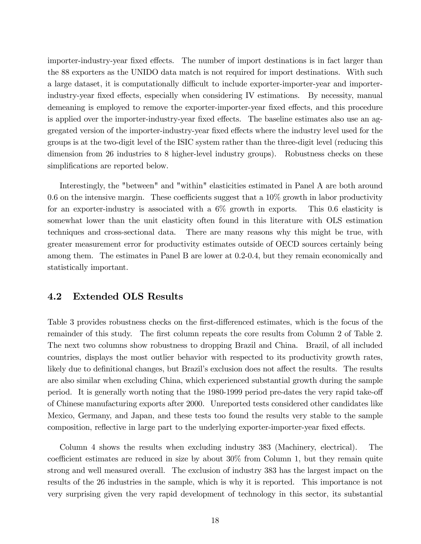importer-industry-year fixed effects. The number of import destinations is in fact larger than the 88 exporters as the UNIDO data match is not required for import destinations. With such a large dataset, it is computationally difficult to include exporter-importer-year and importerindustry-year fixed effects, especially when considering IV estimations. By necessity, manual demeaning is employed to remove the exporter-importer-year fixed effects, and this procedure is applied over the importer-industry-year fixed effects. The baseline estimates also use an aggregated version of the importer-industry-year fixed effects where the industry level used for the groups is at the two-digit level of the ISIC system rather than the three-digit level (reducing this dimension from 26 industries to 8 higher-level industry groups). Robustness checks on these simplifications are reported below.

Interestingly, the "between" and "within" elasticities estimated in Panel A are both around 0.6 on the intensive margin. These coefficients suggest that a  $10\%$  growth in labor productivity for an exporter-industry is associated with a  $6\%$  growth in exports. This 0.6 elasticity is somewhat lower than the unit elasticity often found in this literature with OLS estimation techniques and cross-sectional data. There are many reasons why this might be true, with greater measurement error for productivity estimates outside of OECD sources certainly being among them. The estimates in Panel B are lower at 0.2-0.4, but they remain economically and statistically important.

#### 4.2 Extended OLS Results

Table 3 provides robustness checks on the first-differenced estimates, which is the focus of the remainder of this study. The first column repeats the core results from Column 2 of Table 2. The next two columns show robustness to dropping Brazil and China. Brazil, of all included countries, displays the most outlier behavior with respected to its productivity growth rates, likely due to definitional changes, but Brazil's exclusion does not affect the results. The results are also similar when excluding China, which experienced substantial growth during the sample period. It is generally worth noting that the 1980-1999 period pre-dates the very rapid take-off of Chinese manufacturing exports after 2000. Unreported tests considered other candidates like Mexico, Germany, and Japan, and these tests too found the results very stable to the sample composition, reflective in large part to the underlying exporter-importer-year fixed effects.

Column 4 shows the results when excluding industry 383 (Machinery, electrical). The coefficient estimates are reduced in size by about  $30\%$  from Column 1, but they remain quite strong and well measured overall. The exclusion of industry 383 has the largest impact on the results of the 26 industries in the sample, which is why it is reported. This importance is not very surprising given the very rapid development of technology in this sector, its substantial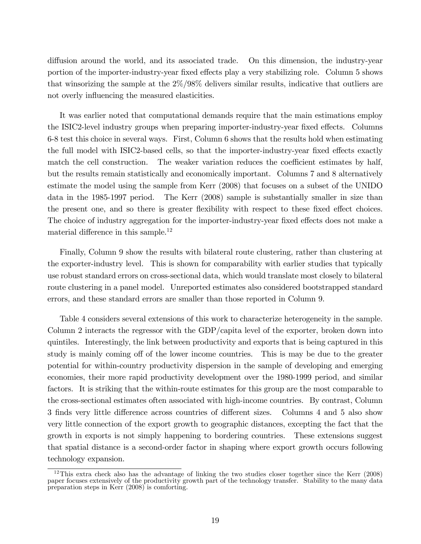diffusion around the world, and its associated trade. On this dimension, the industry-year portion of the importer-industry-year fixed effects play a very stabilizing role. Column 5 shows that winsorizing the sample at the 2%/98% delivers similar results, indicative that outliers are not overly influencing the measured elasticities.

It was earlier noted that computational demands require that the main estimations employ the ISIC2-level industry groups when preparing importer-industry-year fixed effects. Columns 6-8 test this choice in several ways. First, Column 6 shows that the results hold when estimating the full model with ISIC2-based cells, so that the importer-industry-year fixed effects exactly match the cell construction. The weaker variation reduces the coefficient estimates by half, but the results remain statistically and economically important. Columns 7 and 8 alternatively estimate the model using the sample from Kerr (2008) that focuses on a subset of the UNIDO data in the 1985-1997 period. The Kerr (2008) sample is substantially smaller in size than the present one, and so there is greater flexibility with respect to these fixed effect choices. The choice of industry aggregation for the importer-industry-year fixed effects does not make a material difference in this sample.<sup>12</sup>

Finally, Column 9 show the results with bilateral route clustering, rather than clustering at the exporter-industry level. This is shown for comparability with earlier studies that typically use robust standard errors on cross-sectional data, which would translate most closely to bilateral route clustering in a panel model. Unreported estimates also considered bootstrapped standard errors, and these standard errors are smaller than those reported in Column 9.

Table 4 considers several extensions of this work to characterize heterogeneity in the sample. Column 2 interacts the regressor with the GDP/capita level of the exporter, broken down into quintiles. Interestingly, the link between productivity and exports that is being captured in this study is mainly coming off of the lower income countries. This is may be due to the greater potential for within-country productivity dispersion in the sample of developing and emerging economies, their more rapid productivity development over the 1980-1999 period, and similar factors. It is striking that the within-route estimates for this group are the most comparable to the cross-sectional estimates often associated with high-income countries. By contrast, Column 3 finds very little difference across countries of different sizes. Columns 4 and 5 also show very little connection of the export growth to geographic distances, excepting the fact that the growth in exports is not simply happening to bordering countries. These extensions suggest that spatial distance is a second-order factor in shaping where export growth occurs following technology expansion.

 $12$ This extra check also has the advantage of linking the two studies closer together since the Kerr (2008) paper focuses extensively of the productivity growth part of the technology transfer. Stability to the many data preparation steps in Kerr (2008) is comforting.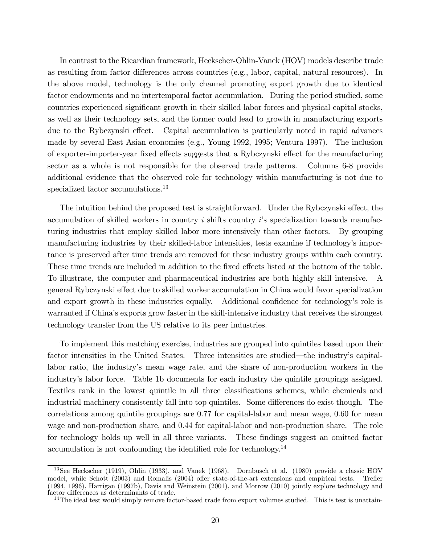In contrast to the Ricardian framework, Heckscher-Ohlin-Vanek (HOV) models describe trade as resulting from factor differences across countries (e.g., labor, capital, natural resources). In the above model, technology is the only channel promoting export growth due to identical factor endowments and no intertemporal factor accumulation. During the period studied, some countries experienced significant growth in their skilled labor forces and physical capital stocks, as well as their technology sets, and the former could lead to growth in manufacturing exports due to the Rybczynski effect. Capital accumulation is particularly noted in rapid advances made by several East Asian economies (e.g., Young 1992, 1995; Ventura 1997). The inclusion of exporter-importer-year fixed effects suggests that a Rybczynski effect for the manufacturing sector as a whole is not responsible for the observed trade patterns. Columns 6-8 provide additional evidence that the observed role for technology within manufacturing is not due to specialized factor accumulations.<sup>13</sup>

The intuition behind the proposed test is straightforward. Under the Rybczynski effect, the accumulation of skilled workers in country  $i$  shifts country  $i$ 's specialization towards manufacturing industries that employ skilled labor more intensively than other factors. By grouping manufacturing industries by their skilled-labor intensities, tests examine if technology's importance is preserved after time trends are removed for these industry groups within each country. These time trends are included in addition to the fixed effects listed at the bottom of the table. To illustrate, the computer and pharmaceutical industries are both highly skill intensive. A general Rybczynski effect due to skilled worker accumulation in China would favor specialization and export growth in these industries equally. Additional confidence for technology's role is warranted if China's exports grow faster in the skill-intensive industry that receives the strongest technology transfer from the US relative to its peer industries.

To implement this matching exercise, industries are grouped into quintiles based upon their factor intensities in the United States. Three intensities are studied—the industry's capitallabor ratio, the industry's mean wage rate, and the share of non-production workers in the industryís labor force. Table 1b documents for each industry the quintile groupings assigned. Textiles rank in the lowest quintile in all three classifications schemes, while chemicals and industrial machinery consistently fall into top quintiles. Some differences do exist though. The correlations among quintile groupings are 0.77 for capital-labor and mean wage, 0.60 for mean wage and non-production share, and 0.44 for capital-labor and non-production share. The role for technology holds up well in all three variants. These findings suggest an omitted factor accumulation is not confounding the identified role for technology.<sup>14</sup>

<sup>&</sup>lt;sup>13</sup>See Heckscher (1919), Ohlin (1933), and Vanek (1968). Dornbusch et al. (1980) provide a classic HOV model, while Schott (2003) and Romalis (2004) offer state-of-the-art extensions and empirical tests. Trefler (1994, 1996), Harrigan (1997b), Davis and Weinstein (2001), and Morrow (2010) jointly explore technology and factor differences as determinants of trade.

<sup>&</sup>lt;sup>14</sup>The ideal test would simply remove factor-based trade from export volumes studied. This is test is unattain-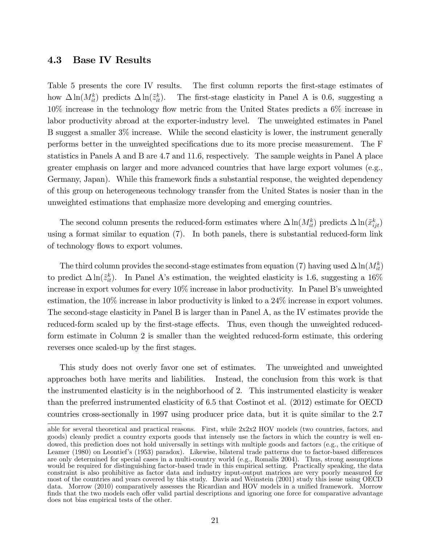#### 4.3 Base IV Results

Table 5 presents the core IV results. The first column reports the first-stage estimates of how  $\Delta \ln(M_{it}^k)$  predicts  $\Delta \ln(\tilde{z}_{it}^k)$ . The first-stage elasticity in Panel A is 0.6, suggesting a 10% increase in the technology áow metric from the United States predicts a 6% increase in labor productivity abroad at the exporter-industry level. The unweighted estimates in Panel B suggest a smaller 3% increase. While the second elasticity is lower, the instrument generally performs better in the unweighted speciÖcations due to its more precise measurement. The F statistics in Panels A and B are 4.7 and 11.6, respectively. The sample weights in Panel A place greater emphasis on larger and more advanced countries that have large export volumes (e.g., Germany, Japan). While this framework finds a substantial response, the weighted dependency of this group on heterogeneous technology transfer from the United States is nosier than in the unweighted estimations that emphasize more developing and emerging countries.

The second column presents the reduced-form estimates where  $\Delta \ln(M_{it}^k)$  predicts  $\Delta \ln(\tilde{x}_{ijt}^k)$ using a format similar to equation (7). In both panels, there is substantial reduced-form link of technology flows to export volumes.

The third column provides the second-stage estimates from equation (7) having used  $\Delta \ln(M_{it}^k)$ to predict  $\Delta \ln(\tilde{z}_{it}^k)$ . In Panel A's estimation, the weighted elasticity is 1.6, suggesting a 16% increase in export volumes for every  $10\%$  increase in labor productivity. In Panel B's unweighted estimation, the 10% increase in labor productivity is linked to a 24% increase in export volumes. The second-stage elasticity in Panel B is larger than in Panel A, as the IV estimates provide the reduced-form scaled up by the first-stage effects. Thus, even though the unweighted reducedform estimate in Column 2 is smaller than the weighted reduced-form estimate, this ordering reverses once scaled-up by the first stages.

This study does not overly favor one set of estimates. The unweighted and unweighted approaches both have merits and liabilities. Instead, the conclusion from this work is that the instrumented elasticity is in the neighborhood of 2. This instrumented elasticity is weaker than the preferred instrumented elasticity of 6.5 that Costinot et al. (2012) estimate for OECD countries cross-sectionally in 1997 using producer price data, but it is quite similar to the 2.7

able for several theoretical and practical reasons. First, while  $2x2x2$  HOV models (two countries, factors, and goods) cleanly predict a country exports goods that intensely use the factors in which the country is well endowed, this prediction does not hold universally in settings with multiple goods and factors (e.g., the critique of Leamer (1980) on Leontief's (1953) paradox). Likewise, bilateral trade patterns due to factor-based differences are only determined for special cases in a multi-country world (e.g., Romalis 2004). Thus, strong assumptions would be required for distinguishing factor-based trade in this empirical setting. Practically speaking, the data constraint is also prohibitive as factor data and industry input-output matrices are very poorly measured for most of the countries and years covered by this study. Davis and Weinstein (2001) study this issue using OECD data. Morrow (2010) comparatively assesses the Ricardian and HOV models in a unified framework. Morrow finds that the two models each offer valid partial descriptions and ignoring one force for comparative advantage does not bias empirical tests of the other.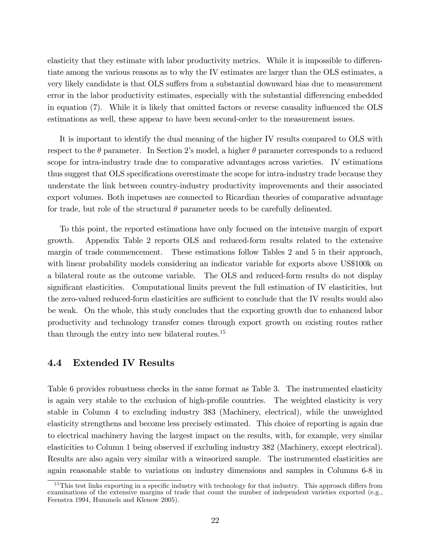elasticity that they estimate with labor productivity metrics. While it is impossible to differentiate among the various reasons as to why the IV estimates are larger than the OLS estimates, a very likely candidate is that OLS suffers from a substantial downward bias due to measurement error in the labor productivity estimates, especially with the substantial differencing embedded in equation (7). While it is likely that omitted factors or reverse causality influenced the OLS estimations as well, these appear to have been second-order to the measurement issues.

It is important to identify the dual meaning of the higher IV results compared to OLS with respect to the  $\theta$  parameter. In Section 2's model, a higher  $\theta$  parameter corresponds to a reduced scope for intra-industry trade due to comparative advantages across varieties. IV estimations thus suggest that OLS specifications overestimate the scope for intra-industry trade because they understate the link between country-industry productivity improvements and their associated export volumes. Both impetuses are connected to Ricardian theories of comparative advantage for trade, but role of the structural  $\theta$  parameter needs to be carefully delineated.

To this point, the reported estimations have only focused on the intensive margin of export growth. Appendix Table 2 reports OLS and reduced-form results related to the extensive margin of trade commencement. These estimations follow Tables 2 and 5 in their approach, with linear probability models considering an indicator variable for exports above US\$100k on a bilateral route as the outcome variable. The OLS and reduced-form results do not display significant elasticities. Computational limits prevent the full estimation of IV elasticities, but the zero-valued reduced-form elasticities are sufficient to conclude that the IV results would also be weak. On the whole, this study concludes that the exporting growth due to enhanced labor productivity and technology transfer comes through export growth on existing routes rather than through the entry into new bilateral routes.<sup>15</sup>

#### 4.4 Extended IV Results

Table 6 provides robustness checks in the same format as Table 3. The instrumented elasticity is again very stable to the exclusion of high-profile countries. The weighted elasticity is very stable in Column 4 to excluding industry 383 (Machinery, electrical), while the unweighted elasticity strengthens and become less precisely estimated. This choice of reporting is again due to electrical machinery having the largest impact on the results, with, for example, very similar elasticities to Column 1 being observed if excluding industry 382 (Machinery, except electrical). Results are also again very similar with a winsorized sample. The instrumented elasticities are again reasonable stable to variations on industry dimensions and samples in Columns 6-8 in

 $15$ This test links exporting in a specific industry with technology for that industry. This approach differs from examinations of the extensive margins of trade that count the number of independent varieties exported (e.g., Feenstra 1994, Hummels and Klenow 2005).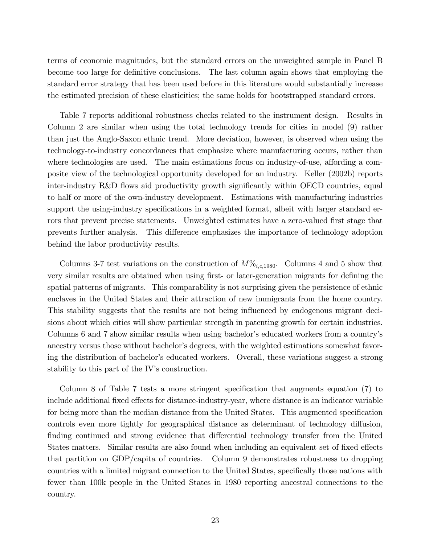terms of economic magnitudes, but the standard errors on the unweighted sample in Panel B become too large for definitive conclusions. The last column again shows that employing the standard error strategy that has been used before in this literature would substantially increase the estimated precision of these elasticities; the same holds for bootstrapped standard errors.

Table 7 reports additional robustness checks related to the instrument design. Results in Column 2 are similar when using the total technology trends for cities in model (9) rather than just the Anglo-Saxon ethnic trend. More deviation, however, is observed when using the technology-to-industry concordances that emphasize where manufacturing occurs, rather than where technologies are used. The main estimations focus on industry-of-use, affording a composite view of the technological opportunity developed for an industry. Keller (2002b) reports inter-industry R&D flows aid productivity growth significantly within OECD countries, equal to half or more of the own-industry development. Estimations with manufacturing industries support the using-industry specifications in a weighted format, albeit with larger standard errors that prevent precise statements. Unweighted estimates have a zero-valued first stage that prevents further analysis. This difference emphasizes the importance of technology adoption behind the labor productivity results.

Columns 3-7 test variations on the construction of  $M\%_{i.c.1980}$ . Columns 4 and 5 show that very similar results are obtained when using first- or later-generation migrants for defining the spatial patterns of migrants. This comparability is not surprising given the persistence of ethnic enclaves in the United States and their attraction of new immigrants from the home country. This stability suggests that the results are not being influenced by endogenous migrant decisions about which cities will show particular strength in patenting growth for certain industries. Columns 6 and 7 show similar results when using bachelor's educated workers from a country's ancestry versus those without bachelor's degrees, with the weighted estimations somewhat favoring the distribution of bachelor's educated workers. Overall, these variations suggest a strong stability to this part of the IV's construction.

Column 8 of Table 7 tests a more stringent specification that augments equation  $(7)$  to include additional fixed effects for distance-industry-year, where distance is an indicator variable for being more than the median distance from the United States. This augmented specification controls even more tightly for geographical distance as determinant of technology diffusion, finding continued and strong evidence that differential technology transfer from the United States matters. Similar results are also found when including an equivalent set of fixed effects that partition on GDP/capita of countries. Column 9 demonstrates robustness to dropping countries with a limited migrant connection to the United States, specifically those nations with fewer than 100k people in the United States in 1980 reporting ancestral connections to the country.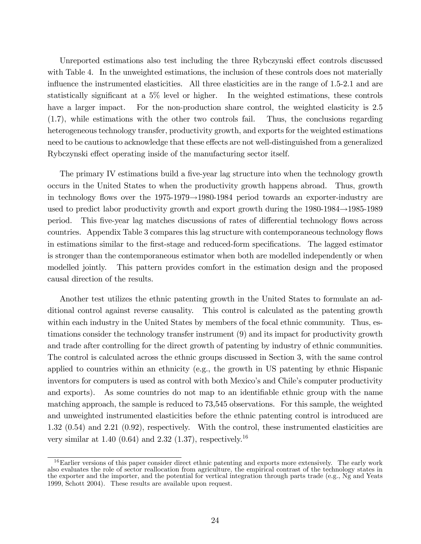Unreported estimations also test including the three Rybczynski effect controls discussed with Table 4. In the unweighted estimations, the inclusion of these controls does not materially influence the instrumented elasticities. All three elasticities are in the range of  $1.5-2.1$  and are statistically significant at a  $5\%$  level or higher. In the weighted estimations, these controls have a larger impact. For the non-production share control, the weighted elasticity is 2.5 (1.7), while estimations with the other two controls fail. Thus, the conclusions regarding heterogeneous technology transfer, productivity growth, and exports for the weighted estimations need to be cautious to acknowledge that these effects are not well-distinguished from a generalized Rybczynski effect operating inside of the manufacturing sector itself.

The primary IV estimations build a five-year lag structure into when the technology growth occurs in the United States to when the productivity growth happens abroad. Thus, growth in technology flows over the  $1975-1979 \rightarrow 1980-1984$  period towards an exporter-industry are used to predict labor productivity growth and export growth during the  $1980-1984 \rightarrow 1985-1989$ period. This five-year lag matches discussions of rates of differential technology flows across countries. Appendix Table 3 compares this lag structure with contemporaneous technology flows in estimations similar to the first-stage and reduced-form specifications. The lagged estimator is stronger than the contemporaneous estimator when both are modelled independently or when modelled jointly. This pattern provides comfort in the estimation design and the proposed causal direction of the results.

Another test utilizes the ethnic patenting growth in the United States to formulate an additional control against reverse causality. This control is calculated as the patenting growth within each industry in the United States by members of the focal ethnic community. Thus, estimations consider the technology transfer instrument (9) and its impact for productivity growth and trade after controlling for the direct growth of patenting by industry of ethnic communities. The control is calculated across the ethnic groups discussed in Section 3, with the same control applied to countries within an ethnicity (e.g., the growth in US patenting by ethnic Hispanic inventors for computers is used as control with both Mexico's and Chile's computer productivity and exports). As some countries do not map to an identifiable ethnic group with the name matching approach, the sample is reduced to 73,545 observations. For this sample, the weighted and unweighted instrumented elasticities before the ethnic patenting control is introduced are 1.32 (0.54) and 2.21 (0.92), respectively. With the control, these instrumented elasticities are very similar at 1.40 (0.64) and 2.32 (1.37), respectively.<sup>16</sup>

<sup>&</sup>lt;sup>16</sup>Earlier versions of this paper consider direct ethnic patenting and exports more extensively. The early work also evaluates the role of sector reallocation from agriculture, the empirical contrast of the technology states in the exporter and the importer, and the potential for vertical integration through parts trade (e.g., Ng and Yeats 1999, Schott 2004). These results are available upon request.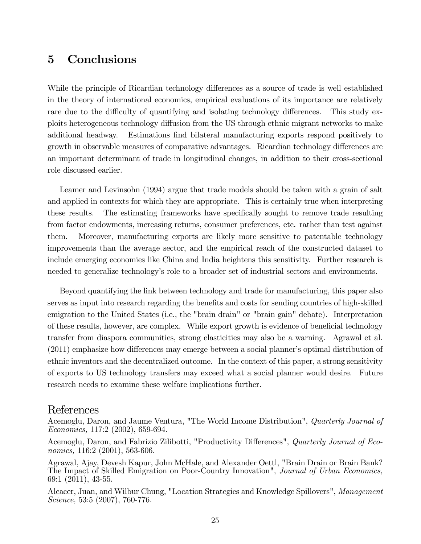## 5 Conclusions

While the principle of Ricardian technology differences as a source of trade is well established in the theory of international economics, empirical evaluations of its importance are relatively rare due to the difficulty of quantifying and isolating technology differences. This study exploits heterogeneous technology diffusion from the US through ethnic migrant networks to make additional headway. Estimations find bilateral manufacturing exports respond positively to growth in observable measures of comparative advantages. Ricardian technology differences are an important determinant of trade in longitudinal changes, in addition to their cross-sectional role discussed earlier.

Leamer and Levinsohn (1994) argue that trade models should be taken with a grain of salt and applied in contexts for which they are appropriate. This is certainly true when interpreting these results. The estimating frameworks have specifically sought to remove trade resulting from factor endowments, increasing returns, consumer preferences, etc. rather than test against them. Moreover, manufacturing exports are likely more sensitive to patentable technology improvements than the average sector, and the empirical reach of the constructed dataset to include emerging economies like China and India heightens this sensitivity. Further research is needed to generalize technology's role to a broader set of industrial sectors and environments.

Beyond quantifying the link between technology and trade for manufacturing, this paper also serves as input into research regarding the benefits and costs for sending countries of high-skilled emigration to the United States (i.e., the "brain drain" or "brain gain" debate). Interpretation of these results, however, are complex. While export growth is evidence of beneficial technology transfer from diaspora communities, strong elasticities may also be a warning. Agrawal et al.  $(2011)$  emphasize how differences may emerge between a social planner's optimal distribution of ethnic inventors and the decentralized outcome. In the context of this paper, a strong sensitivity of exports to US technology transfers may exceed what a social planner would desire. Future research needs to examine these welfare implications further.

### References

Acemoglu, Daron, and Jaume Ventura, "The World Income Distribution", Quarterly Journal of Economics, 117:2 (2002), 659-694.

Acemoglu, Daron, and Fabrizio Zilibotti, "Productivity Differences", *Quarterly Journal of Eco*nomics, 116:2 (2001), 563-606.

Agrawal, Ajay, Devesh Kapur, John McHale, and Alexander Oettl, "Brain Drain or Brain Bank? The Impact of Skilled Emigration on Poor-Country Innovation", Journal of Urban Economics, 69:1 (2011), 43-55.

Alcacer, Juan, and Wilbur Chung, "Location Strategies and Knowledge Spillovers", Management Science, 53:5 (2007), 760-776.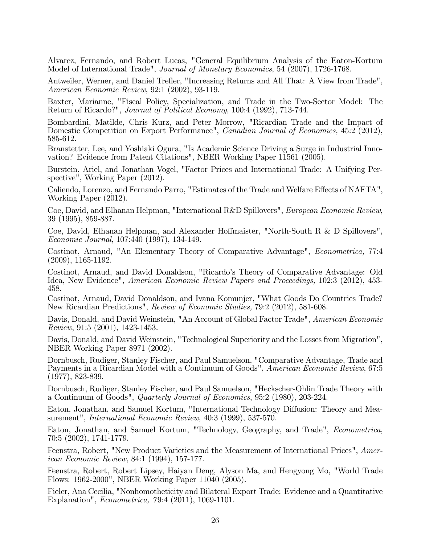Alvarez, Fernando, and Robert Lucas, "General Equilibrium Analysis of the Eaton-Kortum Model of International Trade", *Journal of Monetary Economics*, 54 (2007), 1726-1768.

Antweiler, Werner, and Daniel Trefler, "Increasing Returns and All That: A View from Trade", American Economic Review, 92:1 (2002), 93-119.

Baxter, Marianne, "Fiscal Policy, Specialization, and Trade in the Two-Sector Model: The Return of Ricardo?", Journal of Political Economy, 100:4 (1992), 713-744.

Bombardini, Matilde, Chris Kurz, and Peter Morrow, "Ricardian Trade and the Impact of Domestic Competition on Export Performance", *Canadian Journal of Economics*, 45:2 (2012), 585-612.

Branstetter, Lee, and Yoshiaki Ogura, "Is Academic Science Driving a Surge in Industrial Innovation? Evidence from Patent Citations", NBER Working Paper 11561 (2005).

Burstein, Ariel, and Jonathan Vogel, "Factor Prices and International Trade: A Unifying Perspective", Working Paper (2012).

Caliendo, Lorenzo, and Fernando Parro, "Estimates of the Trade and Welfare Effects of NAFTA", Working Paper (2012).

Coe, David, and Elhanan Helpman, "International R&D Spillovers", European Economic Review, 39 (1995), 859-887.

Coe, David, Elhanan Helpman, and Alexander Hoffmaister, "North-South R  $&$  D Spillovers", Economic Journal, 107:440 (1997), 134-149.

Costinot, Arnaud, "An Elementary Theory of Comparative Advantage", Econometrica, 77:4 (2009), 1165-1192.

Costinot, Arnaud, and David Donaldson, "Ricardo's Theory of Comparative Advantage: Old Idea, New Evidence", American Economic Review Papers and Proceedings, 102:3 (2012), 453- 458.

Costinot, Arnaud, David Donaldson, and Ivana Komunjer, "What Goods Do Countries Trade? New Ricardian Predictions", Review of Economic Studies, 79:2 (2012), 581-608.

Davis, Donald, and David Weinstein, "An Account of Global Factor Trade", American Economic Review, 91:5 (2001), 1423-1453.

Davis, Donald, and David Weinstein, "Technological Superiority and the Losses from Migration", NBER Working Paper 8971 (2002).

Dornbusch, Rudiger, Stanley Fischer, and Paul Samuelson, "Comparative Advantage, Trade and Payments in a Ricardian Model with a Continuum of Goods", American Economic Review, 67:5 (1977), 823-839.

Dornbusch, Rudiger, Stanley Fischer, and Paul Samuelson, "Heckscher-Ohlin Trade Theory with a Continuum of Goods", Quarterly Journal of Economics, 95:2 (1980), 203-224.

Eaton, Jonathan, and Samuel Kortum, "International Technology Diffusion: Theory and Measurement", International Economic Review, 40:3 (1999), 537-570.

Eaton, Jonathan, and Samuel Kortum, "Technology, Geography, and Trade", Econometrica, 70:5 (2002), 1741-1779.

Feenstra, Robert, "New Product Varieties and the Measurement of International Prices", American Economic Review, 84:1 (1994), 157-177.

Feenstra, Robert, Robert Lipsey, Haiyan Deng, Alyson Ma, and Hengyong Mo, "World Trade Flows: 1962-2000", NBER Working Paper 11040 (2005).

Fieler, Ana Cecilia, "Nonhomotheticity and Bilateral Export Trade: Evidence and a Quantitative Explanation", *Econometrica*, 79:4 (2011), 1069-1101.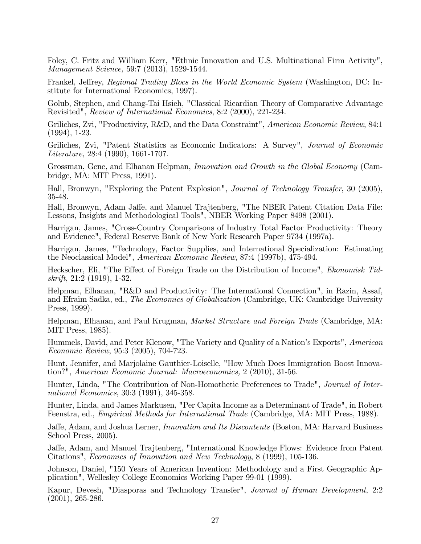Foley, C. Fritz and William Kerr, "Ethnic Innovation and U.S. Multinational Firm Activity", Management Science, 59:7 (2013), 1529-1544.

Frankel, Jeffrey, Regional Trading Blocs in the World Economic System (Washington, DC: Institute for International Economics, 1997).

Golub, Stephen, and Chang-Tai Hsieh, "Classical Ricardian Theory of Comparative Advantage Revisited", Review of International Economics, 8:2 (2000), 221-234.

Griliches, Zvi, "Productivity, R&D, and the Data Constraint", American Economic Review, 84:1 (1994), 1-23.

Griliches, Zvi, "Patent Statistics as Economic Indicators: A Survey", Journal of Economic Literature, 28:4 (1990), 1661-1707.

Grossman, Gene, and Elhanan Helpman, Innovation and Growth in the Global Economy (Cambridge, MA: MIT Press, 1991).

Hall, Bronwyn, "Exploring the Patent Explosion", Journal of Technology Transfer, 30 (2005), 35-48.

Hall, Bronwyn, Adam Jaffe, and Manuel Trajtenberg, "The NBER Patent Citation Data File: Lessons, Insights and Methodological Tools", NBER Working Paper 8498 (2001).

Harrigan, James, "Cross-Country Comparisons of Industry Total Factor Productivity: Theory and Evidence", Federal Reserve Bank of New York Research Paper 9734 (1997a).

Harrigan, James, "Technology, Factor Supplies, and International Specialization: Estimating the Neoclassical Model", American Economic Review, 87:4 (1997b), 475-494.

Heckscher, Eli, "The Effect of Foreign Trade on the Distribution of Income", *Ekonomisk Tid*skrift, 21:2 (1919), 1-32.

Helpman, Elhanan, "R&D and Productivity: The International Connection", in Razin, Assaf, and Efraim Sadka, ed., The Economics of Globalization (Cambridge, UK: Cambridge University Press, 1999).

Helpman, Elhanan, and Paul Krugman, Market Structure and Foreign Trade (Cambridge, MA: MIT Press, 1985).

Hummels, David, and Peter Klenow, "The Variety and Quality of a Nation's Exports", American Economic Review, 95:3 (2005), 704-723.

Hunt, Jennifer, and Marjolaine Gauthier-Loiselle, "How Much Does Immigration Boost Innovation?", American Economic Journal: Macroeconomics, 2 (2010), 31-56.

Hunter, Linda, "The Contribution of Non-Homothetic Preferences to Trade", Journal of International Economics, 30:3 (1991), 345-358.

Hunter, Linda, and James Markusen, "Per Capita Income as a Determinant of Trade", in Robert Feenstra, ed., Empirical Methods for International Trade (Cambridge, MA: MIT Press, 1988).

Jaffe, Adam, and Joshua Lerner, *Innovation and Its Discontents* (Boston, MA: Harvard Business School Press, 2005).

Jaffe, Adam, and Manuel Trajtenberg, "International Knowledge Flows: Evidence from Patent Citations", Economics of Innovation and New Technology, 8 (1999), 105-136.

Johnson, Daniel, "150 Years of American Invention: Methodology and a First Geographic Application", Wellesley College Economics Working Paper 99-01 (1999).

Kapur, Devesh, "Diasporas and Technology Transfer", Journal of Human Development, 2:2 (2001), 265-286.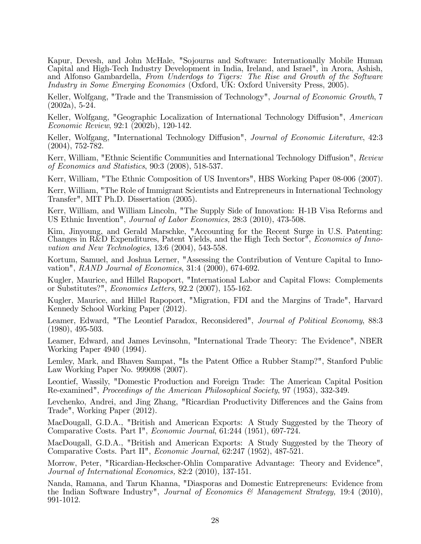Kapur, Devesh, and John McHale, "Sojourns and Software: Internationally Mobile Human Capital and High-Tech Industry Development in India, Ireland, and Israel", in Arora, Ashish, and Alfonso Gambardella, From Underdogs to Tigers: The Rise and Growth of the Software Industry in Some Emerging Economies (Oxford, UK: Oxford University Press, 2005).

Keller, Wolfgang, "Trade and the Transmission of Technology", Journal of Economic Growth, 7 (2002a), 5-24.

Keller, Wolfgang, "Geographic Localization of International Technology Diffusion", American Economic Review, 92:1 (2002b), 120-142.

Keller, Wolfgang, "International Technology Diffusion", Journal of Economic Literature, 42:3 (2004), 752-782.

Kerr, William, "Ethnic Scientific Communities and International Technology Diffusion", Review of Economics and Statistics, 90:3 (2008), 518-537.

Kerr, William, "The Ethnic Composition of US Inventors", HBS Working Paper 08-006 (2007).

Kerr, William, "The Role of Immigrant Scientists and Entrepreneurs in International Technology Transfer", MIT Ph.D. Dissertation (2005).

Kerr, William, and William Lincoln, "The Supply Side of Innovation: H-1B Visa Reforms and US Ethnic Invention", Journal of Labor Economics, 28:3 (2010), 473-508.

Kim, Jinyoung, and Gerald Marschke, "Accounting for the Recent Surge in U.S. Patenting: Changes in R&D Expenditures, Patent Yields, and the High Tech Sector", Economics of Innovation and New Technologies, 13:6 (2004), 543-558.

Kortum, Samuel, and Joshua Lerner, "Assessing the Contribution of Venture Capital to Innovation", RAND Journal of Economics, 31:4 (2000), 674-692.

Kugler, Maurice, and Hillel Rapoport, "International Labor and Capital Flows: Complements or Substitutes?", Economics Letters, 92.2 (2007), 155-162.

Kugler, Maurice, and Hillel Rapoport, "Migration, FDI and the Margins of Trade", Harvard Kennedy School Working Paper (2012).

Leamer, Edward, "The Leontief Paradox, Reconsidered", Journal of Political Economy, 88:3 (1980), 495-503.

Leamer, Edward, and James Levinsohn, "International Trade Theory: The Evidence", NBER Working Paper 4940 (1994).

Lemley, Mark, and Bhaven Sampat, "Is the Patent Office a Rubber Stamp?", Stanford Public Law Working Paper No. 999098 (2007).

Leontief, Wassily, "Domestic Production and Foreign Trade: The American Capital Position Re-examined", Proceedings of the American Philosophical Society, 97 (1953), 332-349.

Levchenko, Andrei, and Jing Zhang, "Ricardian Productivity Differences and the Gains from Trade", Working Paper (2012).

MacDougall, G.D.A., "British and American Exports: A Study Suggested by the Theory of Comparative Costs. Part I", Economic Journal, 61:244 (1951), 697-724.

MacDougall, G.D.A., "British and American Exports: A Study Suggested by the Theory of Comparative Costs. Part II", Economic Journal, 62:247 (1952), 487-521.

Morrow, Peter, "Ricardian-Heckscher-Ohlin Comparative Advantage: Theory and Evidence", Journal of International Economics, 82:2 (2010), 137-151.

Nanda, Ramana, and Tarun Khanna, "Diasporas and Domestic Entrepreneurs: Evidence from the Indian Software Industry", Journal of Economics & Management Strategy, 19:4 (2010), 991-1012.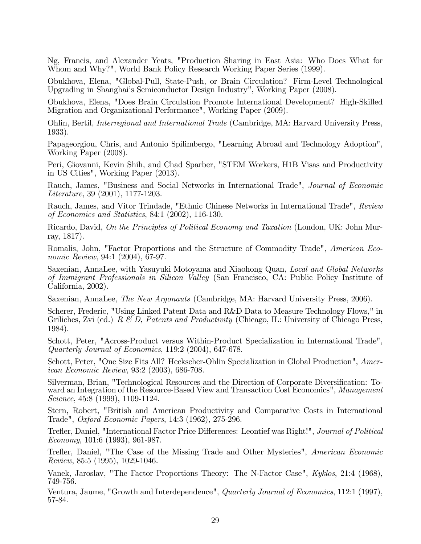Ng, Francis, and Alexander Yeats, "Production Sharing in East Asia: Who Does What for Whom and Why?", World Bank Policy Research Working Paper Series (1999).

Obukhova, Elena, "Global-Pull, State-Push, or Brain Circulation? Firm-Level Technological Upgrading in Shanghaiís Semiconductor Design Industry", Working Paper (2008).

Obukhova, Elena, "Does Brain Circulation Promote International Development? High-Skilled Migration and Organizational Performance", Working Paper (2009).

Ohlin, Bertil, Interregional and International Trade (Cambridge, MA: Harvard University Press, 1933).

Papageorgiou, Chris, and Antonio Spilimbergo, "Learning Abroad and Technology Adoption", Working Paper (2008).

Peri, Giovanni, Kevin Shih, and Chad Sparber, "STEM Workers, H1B Visas and Productivity in US Cities", Working Paper (2013).

Rauch, James, "Business and Social Networks in International Trade", Journal of Economic Literature, 39 (2001), 1177-1203.

Rauch, James, and Vitor Trindade, "Ethnic Chinese Networks in International Trade", Review of Economics and Statistics, 84:1 (2002), 116-130.

Ricardo, David, On the Principles of Political Economy and Taxation (London, UK: John Murray, 1817).

Romalis, John, "Factor Proportions and the Structure of Commodity Trade", American Economic Review, 94:1 (2004), 67-97.

Saxenian, AnnaLee, with Yasuyuki Motoyama and Xiaohong Quan, Local and Global Networks of Immigrant Professionals in Silicon Valley (San Francisco, CA: Public Policy Institute of California, 2002).

Saxenian, AnnaLee, *The New Argonauts* (Cambridge, MA: Harvard University Press, 2006).

Scherer, Frederic, "Using Linked Patent Data and R&D Data to Measure Technology Flows," in Griliches, Zvi (ed.)  $R \& D$ , Patents and Productivity (Chicago, IL: University of Chicago Press, 1984).

Schott, Peter, "Across-Product versus Within-Product Specialization in International Trade", Quarterly Journal of Economics, 119:2 (2004), 647-678.

Schott, Peter, "One Size Fits All? Heckscher-Ohlin Specialization in Global Production", American Economic Review, 93:2 (2003), 686-708.

Silverman, Brian, "Technological Resources and the Direction of Corporate Diversification: Toward an Integration of the Resource-Based View and Transaction Cost Economics", Management Science, 45:8 (1999), 1109-1124.

Stern, Robert, "British and American Productivity and Comparative Costs in International Trade", Oxford Economic Papers, 14:3 (1962), 275-296.

Trefler, Daniel, "International Factor Price Differences: Leontief was Right!", Journal of Political Economy, 101:6 (1993), 961-987.

Trefler, Daniel, "The Case of the Missing Trade and Other Mysteries", American Economic Review, 85:5 (1995), 1029-1046.

Vanek, Jaroslav, "The Factor Proportions Theory: The N-Factor Case", Kyklos, 21:4 (1968), 749-756.

Ventura, Jaume, "Growth and Interdependence", Quarterly Journal of Economics, 112:1 (1997), 57-84.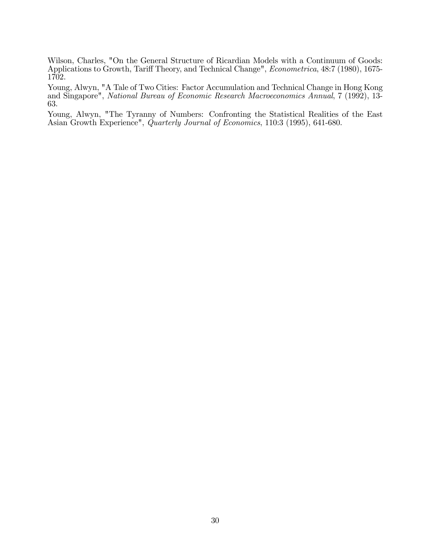Wilson, Charles, "On the General Structure of Ricardian Models with a Continuum of Goods: Applications to Growth, Tariff Theory, and Technical Change", Econometrica, 48:7 (1980), 1675-1702.

Young, Alwyn, "A Tale of Two Cities: Factor Accumulation and Technical Change in Hong Kong and Singapore", National Bureau of Economic Research Macroeconomics Annual, 7 (1992), 13- 63.

Young, Alwyn, "The Tyranny of Numbers: Confronting the Statistical Realities of the East Asian Growth Experience", Quarterly Journal of Economics, 110:3 (1995), 641-680.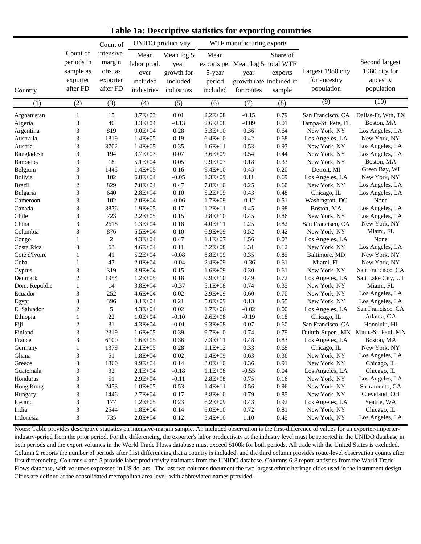|                 |                                                             | Count of                                                |                                                       | <b>UNIDO</b> productivity                                  |                                      | WTF manufacturing exports                                                         |                               |                                                 |                                                           |
|-----------------|-------------------------------------------------------------|---------------------------------------------------------|-------------------------------------------------------|------------------------------------------------------------|--------------------------------------|-----------------------------------------------------------------------------------|-------------------------------|-------------------------------------------------|-----------------------------------------------------------|
| Country         | Count of<br>periods in<br>sample as<br>exporter<br>after FD | intensive-<br>margin<br>obs. as<br>exporter<br>after FD | Mean<br>labor prod.<br>over<br>included<br>industries | Mean log 5<br>year<br>growth for<br>included<br>industries | Mean<br>5-year<br>period<br>included | exports per Mean log 5 total WTF<br>year<br>growth rate included in<br>for routes | Share of<br>exports<br>sample | Largest 1980 city<br>for ancestry<br>population | Second largest<br>1980 city for<br>ancestry<br>population |
| (1)             | (2)                                                         | (3)                                                     | (4)                                                   | (5)                                                        | (6)                                  | (7)                                                                               | (8)                           | (9)                                             | (10)                                                      |
| Afghanistan     | $\mathbf{1}$                                                | 15                                                      | $3.7E + 03$                                           | 0.01                                                       | $2.2E + 08$                          | $-0.15$                                                                           | 0.79                          | San Francisco, CA                               | Dallas-Ft. Wth, TX                                        |
| Algeria         | $\mathfrak 3$                                               | 40                                                      | $3.3E + 04$                                           | $-0.13$                                                    | $2.6E + 08$                          | $-0.09$                                                                           | 0.01                          | Tampa-St. Pete, FL                              | Boston, MA                                                |
| Argentina       | $\mathfrak{Z}$                                              | 819                                                     | $9.0E + 04$                                           | 0.28                                                       | $3.3E + 10$                          | 0.36                                                                              | 0.64                          | New York, NY                                    | Los Angeles, LA                                           |
| Australia       | $\mathfrak{Z}$                                              | 1819                                                    | $1.4E + 05$                                           | 0.19                                                       | $6.4E + 10$                          | 0.42                                                                              | 0.68                          | Los Angeles, LA                                 | New York, NY                                              |
| Austria         | $\mathfrak{Z}$                                              | 3702                                                    | $1.4E + 05$                                           | 0.35                                                       | $1.6E + 11$                          | 0.53                                                                              | 0.97                          | New York, NY                                    | Los Angeles, LA                                           |
| Bangladesh      | $\mathfrak{Z}$                                              | 194                                                     | $3.7E + 03$                                           | 0.07                                                       | $3.6E + 09$                          | 0.54                                                                              | 0.44                          | New York, NY                                    | Los Angeles, LA                                           |
| <b>Barbados</b> | $\mathfrak{Z}$                                              | 18                                                      | $5.1E + 04$                                           | 0.05                                                       | $9.9E + 07$                          | 0.18                                                                              | 0.33                          | New York, NY                                    | Boston, MA                                                |
| Belgium         | $\ensuremath{\mathfrak{Z}}$                                 | 1445                                                    | $1.4E + 05$                                           | 0.16                                                       | $9.4E + 10$                          | 0.45                                                                              | 0.20                          | Detroit, MI                                     | Green Bay, WI                                             |
| Bolivia         | $\mathfrak{Z}$                                              | 102                                                     | $6.8E + 04$                                           | $-0.05$                                                    | $1.3E + 09$                          | 0.11                                                                              | 0.69                          | Los Angeles, LA                                 | New York, NY                                              |
| <b>Brazil</b>   | $\overline{c}$                                              | 829                                                     | $7.8E + 04$                                           | 0.47                                                       | $7.8E + 10$                          | 0.25                                                                              | 0.60                          | New York, NY                                    | Los Angeles, LA                                           |
| Bulgaria        | $\mathfrak{Z}$                                              | 640                                                     | $2.8E + 04$                                           | 0.10                                                       | $5.2E + 09$                          | 0.43                                                                              | 0.48                          | Chicago, IL                                     | Los Angeles, LA                                           |
| Cameroon        | $\mathfrak{Z}$                                              | 102                                                     | $2.0E + 04$                                           | $-0.06$                                                    | $1.7E + 09$                          | $-0.12$                                                                           | 0.51                          | Washington, DC                                  | None                                                      |
| Canada          | $\mathfrak{Z}$                                              | 3876                                                    | $1.9E + 05$                                           | 0.17                                                       | $1.2E + 11$                          | 0.45                                                                              | 0.98                          | Boston, MA                                      | Los Angeles, LA                                           |
| Chile           | $\mathfrak{Z}$                                              | 723                                                     | $2.2E + 0.5$                                          | 0.15                                                       | $2.8E+10$                            | 0.45                                                                              | 0.86                          | New York, NY                                    | Los Angeles, LA                                           |
| China           | 3                                                           | 2618                                                    | $1.3E + 04$                                           | 0.18                                                       | $4.0E + 11$                          | 1.25                                                                              | 0.82                          | San Francisco, CA                               | New York, NY                                              |
| Colombia        | $\mathfrak{Z}$                                              | 876                                                     | $5.5E + 04$                                           | 0.10                                                       | $6.9E + 09$                          | 0.52                                                                              | 0.42                          | New York, NY                                    | Miami, FL                                                 |
| Congo           | $\mathbf{1}$                                                | 2                                                       | $4.3E + 04$                                           | 0.47                                                       | $1.1E + 07$                          | 1.56                                                                              | 0.03                          | Los Angeles, LA                                 | None                                                      |
| Costa Rica      | 3                                                           | 63                                                      | $4.6E + 04$                                           | 0.11                                                       | $3.2E + 08$                          | 1.31                                                                              | 0.12                          | New York, NY                                    | Los Angeles, LA                                           |
| Cote d'Ivoire   | $\mathbf{1}$                                                | 41                                                      | $5.2E + 04$                                           | $-0.08$                                                    | $8.8E + 09$                          | 0.35                                                                              | 0.85                          | Baltimore, MD                                   | New York, NY                                              |
| Cuba            | $\mathbf{1}$                                                | 47                                                      | $2.0E + 04$                                           | $-0.04$                                                    | $2.4E + 09$                          | $-0.36$                                                                           | 0.61                          | Miami, FL                                       | New York, NY                                              |
| Cyprus          | $\mathfrak{Z}$                                              | 319                                                     | $3.9E + 04$                                           | 0.15                                                       | $1.6E + 09$                          | 0.30                                                                              | 0.61                          | New York, NY                                    | San Francisco, CA                                         |
| Denmark         | $\overline{c}$                                              | 1954                                                    | $1.2E + 0.5$                                          | 0.18                                                       | $9.9E+10$                            | 0.49                                                                              | 0.72                          | Los Angeles, LA                                 | Salt Lake City, UT                                        |
| Dom. Republic   | $\mathbf{1}$                                                | 14                                                      | $3.8E + 04$                                           | $-0.37$                                                    | $5.1E + 08$                          | 0.74                                                                              | 0.35                          | New York, NY                                    | Miami, FL                                                 |
| Ecuador         | $\mathfrak{Z}$                                              | 252                                                     | $4.6E + 04$                                           | 0.02                                                       | $2.9E + 09$                          | 0.60                                                                              | 0.70                          | New York, NY                                    | Los Angeles, LA                                           |
| Egypt           | $\mathfrak{Z}$                                              | 396                                                     | $3.1E + 04$                                           | 0.21                                                       | $5.0E + 09$                          | 0.13                                                                              | 0.55                          | New York, NY                                    | Los Angeles, LA                                           |
| El Salvador     | $\overline{c}$                                              | 5                                                       | $4.3E + 04$                                           | 0.02                                                       | $1.7E + 06$                          | $-0.02$                                                                           | $0.00\,$                      | Los Angeles, LA                                 | San Francisco, CA                                         |
| Ethiopia        | $\mathbf{1}$                                                | 22                                                      | $1.0E + 04$                                           | $-0.10$                                                    | $2.6E + 08$                          | $-0.19$                                                                           | 0.18                          | Chicago, IL                                     | Atlanta, GA                                               |
| Fiji            | $\overline{2}$                                              | 31                                                      | $4.3E + 04$                                           | $-0.01$                                                    | $9.3E + 08$                          | 0.07                                                                              | 0.60                          | San Francisco, CA                               | Honolulu, HI                                              |
| Finland         | $\mathfrak{Z}$                                              | 2319                                                    | $1.6E + 05$                                           | 0.39                                                       | $9.7E + 10$                          | 0.74                                                                              | 0.79                          | Duluth-Super., MN                               | Minn.-St. Paul, MN                                        |
| France          | 3                                                           | 6100                                                    | $1.6E + 05$                                           | 0.36                                                       | $7.3E+11$                            | 0.48                                                                              | 0.83                          | Los Angeles, LA                                 | Boston, MA                                                |
| Germany         | 1                                                           | 1379                                                    | $2.1E + 0.5$                                          | 0.28                                                       | $1.1E+12$                            | 0.33                                                                              | 0.68                          | Chicago, IL                                     | New York, NY                                              |
| Ghana           | $\sqrt{3}$                                                  | 51                                                      | $1.8E + 04$                                           | $0.02\,$                                                   | $1.4E + 09$                          | 0.63                                                                              | 0.36                          | New York, NY                                    | Los Angeles, LA                                           |
| Greece          | $\mathfrak{Z}$                                              | 1860                                                    | $9.9E + 04$                                           | 0.14                                                       | $3.0E + 10$                          | $0.36\,$                                                                          | 0.91                          | New York, NY                                    | Chicago, IL                                               |
| Guatemala       | $\mathfrak{Z}$                                              | 32                                                      | $2.1E + 04$                                           | $-0.18$                                                    | $1.1E + 08$                          | $-0.55$                                                                           | 0.04                          | Los Angeles, LA                                 | Chicago, IL                                               |
| Honduras        | 3                                                           | 51                                                      | $2.9E + 04$                                           | $-0.11$                                                    | $2.8E + 0.8$                         | 0.75                                                                              | 0.16                          | New York, NY                                    | Los Angeles, LA                                           |
| Hong Kong       | $\sqrt{3}$                                                  | 2453                                                    | $1.0E + 05$                                           | 0.53                                                       | $1.4E + 11$                          | 0.56                                                                              | 0.96                          | New York, NY                                    | Sacramento, CA                                            |
| Hungary         | $\sqrt{3}$                                                  | 1446                                                    | $2.7E + 04$                                           | $0.17\,$                                                   | $3.8E + 10$                          | 0.79                                                                              | 0.85                          | New York, NY                                    | Cleveland, OH                                             |
| Iceland         | $\mathfrak{Z}$                                              | 177                                                     | $1.2E + 0.5$                                          | 0.23                                                       | $6.2E + 09$                          | 0.43                                                                              | 0.92                          | Los Angeles, LA                                 | Seattle, WA                                               |
| India           | $\sqrt{3}$                                                  | 2544                                                    | $1.8E + 04$                                           | 0.14                                                       | $6.0E + 10$                          | 0.72                                                                              | 0.81                          | New York, NY                                    | Chicago, IL                                               |
| Indonesia       | $\mathfrak{Z}$                                              | 735                                                     | $2.0E + 04$                                           | $0.12\,$                                                   | $5.4E + 10$                          | $1.10\,$                                                                          | 0.45                          | New York, NY                                    | Los Angeles, LA                                           |

**Table 1a: Descriptive statistics for exporting countries**

Notes: Table provides descriptive statistics on intensive-margin sample. An included observation is the first-difference of values for an exporter-importerindustry-period from the prior period. For the differencing, the exporter's labor productivity at the industry level must be reported in the UNIDO database in both periods and the export volumes in the World Trade Flows database must exceed \$100k for both periods. All trade with the United States is excluded. Column 2 reports the number of periods after first differencing that a country is included, and the third column provides route-level observation counts after first differencing. Columns 4 and 5 provide labor productivity estimates from the UNIDO database. Columns 6-8 report statistics from the World Trade Flows database, with volumes expressed in US dollars. The last two columns document the two largest ethnic heritage cities used in the instrument design. Cities are defined at the consolidated metropolitan area level, with abbreviated names provided.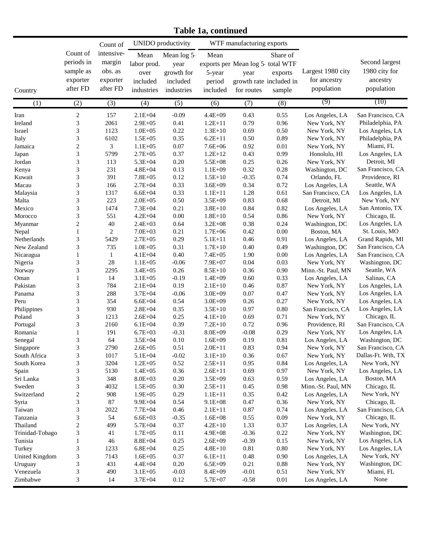**Table 1a, continued**

|                 |                                                             | Count of                                                |                                                       | <b>UNIDO</b> productivity                                  |                                      | WTF manufacturing exports                                                         |                               |                                                 |                                                           |
|-----------------|-------------------------------------------------------------|---------------------------------------------------------|-------------------------------------------------------|------------------------------------------------------------|--------------------------------------|-----------------------------------------------------------------------------------|-------------------------------|-------------------------------------------------|-----------------------------------------------------------|
| Country         | Count of<br>periods in<br>sample as<br>exporter<br>after FD | intensive-<br>margin<br>obs. as<br>exporter<br>after FD | Mean<br>labor prod.<br>over<br>included<br>industries | Mean log 5<br>year<br>growth for<br>included<br>industries | Mean<br>5-year<br>period<br>included | exports per Mean log 5 total WTF<br>year<br>growth rate included in<br>for routes | Share of<br>exports<br>sample | Largest 1980 city<br>for ancestry<br>population | Second largest<br>1980 city for<br>ancestry<br>population |
| (1)             | (2)                                                         | (3)                                                     | (4)                                                   | (5)                                                        | (6)                                  | (7)                                                                               | (8)                           | (9)                                             | (10)                                                      |
| Iran            | $\sqrt{2}$                                                  | 157                                                     | $2.1E + 04$                                           | $-0.09$                                                    | $4.4E + 09$                          | 0.43                                                                              | 0.55                          | Los Angeles, LA                                 | San Francisco, CA                                         |
| Ireland         | $\mathfrak{Z}$                                              | 2061                                                    | $2.9E + 05$                                           | 0.41                                                       | $1.2E + 11$                          | 0.79                                                                              | 0.96                          | New York, NY                                    | Philadelphia, PA                                          |
| Israel          | $\mathfrak{Z}$                                              | 1123                                                    | $1.0E + 05$                                           | 0.22                                                       | $1.3E+10$                            | 0.69                                                                              | 0.50                          | New York, NY                                    | Los Angeles, LA                                           |
| Italy           | $\mathfrak{Z}$                                              | 6102                                                    | $1.5E + 05$                                           | 0.35                                                       | $6.2E + 11$                          | 0.50                                                                              | 0.89                          | New York, NY                                    | Philadelphia, PA                                          |
| Jamaica         | $\sqrt{2}$                                                  | 3                                                       | $1.1E + 05$                                           | 0.07                                                       | $7.6E + 06$                          | 0.92                                                                              | $0.01\,$                      | New York, NY                                    | Miami, FL                                                 |
| Japan           | $\mathfrak{Z}$                                              | 5799                                                    | $2.7E + 05$                                           | 0.37                                                       | $1.2E+12$                            | 0.43                                                                              | 0.99                          | Honolulu, HI                                    | Los Angeles, LA                                           |
| Jordan          | $\overline{3}$                                              | 113                                                     | 5.3E+04                                               | 0.20                                                       | $5.5E + 08$                          | 0.25                                                                              | 0.26                          | New York, NY                                    | Detroit, MI                                               |
| Kenya           | $\overline{3}$                                              | 231                                                     | $4.8E + 04$                                           | 0.13                                                       | $1.1E + 09$                          | 0.32                                                                              | 0.28                          | Washington, DC                                  | San Francisco, CA                                         |
| Kuwait          | $\overline{3}$                                              | 391                                                     | $7.8E + 05$                                           | 0.12                                                       | $1.5E+10$                            | $-0.35$                                                                           | 0.74                          | Orlando, FL                                     | Providence, RI                                            |
| Macau           | $\overline{3}$                                              | 166                                                     | $2.7E + 04$                                           | 0.33                                                       | $3.6E + 09$                          | 0.34                                                                              | 0.72                          | Los Angeles, LA                                 | Seattle, WA                                               |
| Malaysia        | $\overline{3}$                                              | 1317                                                    | $6.6E + 04$                                           | 0.33                                                       | $1.1E + 11$                          | 1.28                                                                              | 0.61                          | San Francisco, CA                               | Los Angeles, LA                                           |
| Malta           | $\mathfrak{Z}$                                              | 223                                                     | $2.0E + 0.5$                                          | 0.50                                                       | $3.5E + 09$                          | 0.83                                                                              | 0.68                          | Detroit, MI                                     | New York, NY                                              |
| Mexico          | $\mathfrak{Z}$                                              | 1474                                                    | $7.3E + 04$                                           | 0.21                                                       | $3.8E + 10$                          | 0.84                                                                              | 0.82                          | Los Angeles, LA                                 | San Antonio, TX                                           |
| Morocco         | 3                                                           | 551                                                     | $4.2E + 04$                                           | 0.00                                                       | $1.8E + 10$                          | 0.54                                                                              | 0.86                          | New York, NY                                    | Chicago, IL                                               |
| Myanmar         | $\sqrt{2}$                                                  | 40                                                      | $2.4E + 03$                                           | 0.64                                                       | $3.2E + 08$                          | 0.38                                                                              | 0.24                          | Washington, DC                                  | Los Angeles, LA                                           |
| Nepal           | $\mathbf{1}$                                                | 2                                                       | $7.0E + 03$                                           | 0.21                                                       | $1.7E + 06$                          | 0.42                                                                              | $0.00\,$                      | Boston, MA                                      | St. Louis, MO                                             |
| Netherlands     | $\mathfrak{Z}$                                              | 5429                                                    | $2.7E + 0.5$                                          | 0.29                                                       | $5.1E + 11$                          | 0.46                                                                              | 0.91                          | Los Angeles, LA                                 | Grand Rapids, MI                                          |
| New Zealand     | $\mathfrak{Z}$                                              | 735                                                     | $1.0E + 05$                                           | 0.31                                                       | $1.7E + 10$                          | 0.40                                                                              | 0.49                          | Washington, DC                                  | San Francisco, CA                                         |
| Nicaragua       | $\mathbf{1}$                                                | 1                                                       | $4.1E + 04$                                           | 0.40                                                       | $7.4E + 05$                          | 1.90                                                                              | $0.00\,$                      | Los Angeles, LA                                 | San Francisco, CA                                         |
| Nigeria         | $\sqrt{3}$                                                  | $28\,$                                                  | $1.1E + 05$                                           | $-0.06$                                                    | 7.9E+07                              | 0.04                                                                              | 0.03                          | New York, NY                                    | Washington, DC                                            |
| Norway          | $\mathfrak{Z}$                                              | 2295                                                    | $3.4E + 05$                                           | 0.26                                                       | $8.5E + 10$                          | 0.36                                                                              | 0.90                          | Minn.-St. Paul, MN                              | Seattle, WA                                               |
| Oman            | $\mathbf{1}$                                                | 14                                                      | $3.1E + 05$                                           | $-0.19$                                                    | $1.4E + 09$                          | 0.60                                                                              | 0.33                          | Los Angeles, LA                                 | Salinas, CA                                               |
| Pakistan        | $\mathfrak{Z}$                                              | 784                                                     | $2.1E + 04$                                           | 0.19                                                       | $2.1E+10$                            | 0.46                                                                              | 0.87                          | New York, NY                                    | Los Angeles, LA                                           |
| Panama          | $\overline{3}$                                              | 288                                                     | $3.7E + 04$                                           | $-0.06$                                                    | $3.0E + 09$                          | 0.07                                                                              | 0.47                          | New York, NY                                    | Los Angeles, LA                                           |
| Peru            | $\overline{3}$                                              | 354                                                     | $6.6E + 04$                                           | 0.54                                                       | $3.0E + 09$                          | 0.26                                                                              | 0.27                          | New York, NY                                    | Los Angeles, LA                                           |
| Philippines     | $\overline{3}$                                              | 930                                                     | $2.8E + 04$                                           | 0.35                                                       | $3.5E+10$                            | 0.97                                                                              | $0.80\,$                      | San Francisco, CA                               | Los Angeles, LA                                           |
| Poland          | $\mathfrak{Z}$                                              | 1213                                                    | $2.6E + 04$                                           | 0.25                                                       | $4.1E + 10$                          | 0.69                                                                              | 0.71                          | New York, NY                                    | Chicago, IL                                               |
| Portugal        | $\sqrt{3}$                                                  | 2160                                                    | $6.1E + 04$                                           | 0.39                                                       | $7.2E+10$                            | 0.72                                                                              | 0.96                          | Providence, RI                                  | San Francisco, CA                                         |
| Romania         | $\mathbf{1}$                                                | 191                                                     | $6.7E + 03$                                           | $-0.31$                                                    | $8.0E + 09$                          | $-0.08$                                                                           | 0.29                          | New York, NY                                    | Los Angeles, LA                                           |
| Senegal         | 3                                                           | 64                                                      | $3.5E + 04$                                           | 0.10                                                       | $1.6E + 09$                          | 0.19                                                                              | 0.81                          | Los Angeles, LA                                 | Washington, DC                                            |
| Singapore       | $\mathfrak{Z}$                                              | 2790                                                    | $2.6E + 05$                                           | 0.51                                                       | $2.0E + 11$                          | 0.83                                                                              | 0.94                          | New York, NY                                    | San Francisco, CA                                         |
| South Africa    | $\overline{\mathbf{3}}$                                     | 1017                                                    | 5.1E+04                                               | $-0.02$                                                    | $3.1E + 10$                          | 0.36                                                                              | 0.67                          | New York, NY                                    | Dallas-Ft. Wth, TX                                        |
| South Korea     | $\mathfrak{Z}$                                              | 3204                                                    | $1.2E + 05$                                           | 0.52                                                       | $2.5E+11$                            | 0.95                                                                              | 0.84                          | Los Angeles, LA                                 | New York, NY                                              |
| Spain           | 3                                                           | 5130                                                    | $1.4E + 05$                                           | 0.36                                                       | $2.6E + 11$                          | 0.69                                                                              | 0.97                          | New York, NY                                    | Los Angeles, LA                                           |
| Sri Lanka       | $\overline{\mathbf{3}}$                                     | 348                                                     | $8.0E + 03$                                           | $0.20\,$                                                   | $3.5E + 09$                          | 0.63                                                                              | 0.59                          | Los Angeles, LA                                 | Boston, MA                                                |
| Sweden          | $\overline{\mathbf{3}}$                                     | 4032                                                    | $1.5E + 05$                                           | 0.30                                                       | $2.5E+11$                            | 0.45                                                                              | 0.98                          | Minn.-St. Paul, MN                              | Chicago, IL                                               |
| Switzerland     | $\boldsymbol{2}$                                            | 908                                                     | $1.9E + 05$                                           | 0.29                                                       | $1.1E+11$                            | 0.35                                                                              | 0.42                          | Los Angeles, LA                                 | New York, NY                                              |
| Syria           | $\mathfrak{Z}$                                              | 87                                                      | $9.9E + 04$                                           | 0.54                                                       | $9.1E + 08$                          | 0.47                                                                              | 0.36                          | New York, NY                                    | Chicago, IL                                               |
| Taiwan          | $\mathfrak{Z}$                                              | 2022                                                    | $7.7E + 04$                                           | 0.46                                                       | $2.1E+11$                            | 0.87                                                                              | 0.74                          | Los Angeles, LA                                 | San Francisco, CA                                         |
| Tanzania        | $\overline{\mathbf{3}}$                                     | 54                                                      | $6.6E + 03$                                           | $-0.35$                                                    | $1.6E + 08$                          | 0.55                                                                              | 0.09                          | New York, NY                                    | Chicago, IL                                               |
| Thailand        | $\overline{c}$                                              | 499                                                     | 5.7E+04                                               | 0.37                                                       | $4.2E+10$                            | 1.33                                                                              | 0.37                          | Los Angeles, LA                                 | New York, NY                                              |
| Trinidad-Tobago | $\mathfrak{Z}$                                              | 41                                                      | $1.7E + 0.5$                                          | 0.11                                                       | $4.9E + 08$                          | $-0.36$                                                                           | 0.22                          | New York, NY                                    | Washington, DC                                            |
| Tunisia         | $\mathbf{1}$                                                | 46                                                      | $8.8E + 04$                                           | 0.25                                                       | $2.6E + 09$                          | $-0.39$                                                                           | 0.15                          | New York, NY                                    | Los Angeles, LA                                           |
| Turkey          | $\mathfrak{Z}$                                              | 1233                                                    | $6.8E + 04$                                           | 0.25                                                       | $4.8E + 10$                          | $0.81\,$                                                                          | $0.80\,$                      | New York, NY                                    | Los Angeles, LA                                           |
| United Kingdom  | $\mathfrak{Z}$                                              | 7143                                                    | $1.6E + 05$                                           | 0.37                                                       | $6.1E+11$                            | 0.48                                                                              | 0.90                          | Los Angeles, LA                                 | New York, NY                                              |
| Uruguay         | $\sqrt{3}$                                                  | 431                                                     | $4.4E + 04$                                           | 0.20                                                       | $6.5E + 09$                          | 0.21                                                                              | $0.88\,$                      | New York, NY                                    | Washington, DC                                            |
| Venezuela       | $\sqrt{3}$<br>$\mathfrak{Z}$                                | 490                                                     | $3.1E + 05$                                           | $-0.03$                                                    | $8.4E + 09$                          | $-0.01$                                                                           | 0.51                          | New York, NY                                    | Miami, FL                                                 |
| Zimbabwe        |                                                             | 14                                                      | $3.7E + 04$                                           | 0.12                                                       | 5.7E+07                              | $-0.58$                                                                           | $0.01\,$                      | Los Angeles, LA                                 | None                                                      |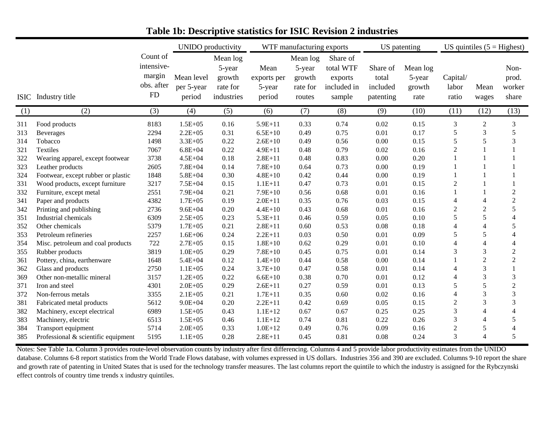|                          |                                                                                                  |                                                      | <b>UNIDO</b> productivity                                 |                                                        |                                                    | WTF manufacturing exports                          |                                                           | US patenting                               |                                      | US quintiles $(5 =$ Highest)  |                                          |                                       |
|--------------------------|--------------------------------------------------------------------------------------------------|------------------------------------------------------|-----------------------------------------------------------|--------------------------------------------------------|----------------------------------------------------|----------------------------------------------------|-----------------------------------------------------------|--------------------------------------------|--------------------------------------|-------------------------------|------------------------------------------|---------------------------------------|
| <b>ISIC</b>              | Industry title                                                                                   | Count of<br>intensive-<br>margin<br>obs. after<br>FD | Mean level<br>per 5-year<br>period                        | Mean log<br>5-year<br>growth<br>rate for<br>industries | Mean<br>exports per<br>5-year<br>period            | Mean log<br>5-year<br>growth<br>rate for<br>routes | Share of<br>total WTF<br>exports<br>included in<br>sample | Share of<br>total<br>included<br>patenting | Mean log<br>5-year<br>growth<br>rate | Capital/<br>labor<br>ratio    | Mean<br>wages                            | Non-<br>prod.<br>worker<br>share      |
| (1)                      | (2)                                                                                              | (3)                                                  | (4)                                                       | (5)                                                    | (6)                                                | (7)                                                | (8)                                                       | (9)                                        | (10)                                 | (11)                          | (12)                                     | (13)                                  |
| 311<br>313<br>314<br>321 | Food products<br><b>Beverages</b><br>Tobacco<br>Textiles                                         | 8183<br>2294<br>1498<br>7067                         | $1.5E + 05$<br>$2.2E + 0.5$<br>$3.3E + 05$<br>$6.8E + 04$ | 0.16<br>0.31<br>0.22<br>0.22                           | $5.9E+11$<br>$6.5E+10$<br>$2.6E+10$<br>$4.9E + 11$ | 0.33<br>0.49<br>0.49<br>0.48                       | 0.74<br>0.75<br>0.56<br>0.79                              | 0.02<br>0.01<br>0.00<br>0.02               | 0.15<br>0.17<br>0.15<br>0.16         | 3<br>5<br>5<br>$\overline{c}$ | $\overline{2}$<br>3<br>5<br>$\mathbf{1}$ | 3<br>5<br>3                           |
| 322<br>323               | Wearing apparel, except footwear<br>Leather products                                             | 3738<br>2605                                         | $4.5E + 04$<br>$7.8E + 04$                                | 0.18<br>0.14                                           | $2.8E + 11$<br>$7.8E+10$                           | 0.48<br>0.64                                       | 0.83<br>0.73                                              | 0.00<br>0.00                               | 0.20<br>0.19                         |                               |                                          |                                       |
| 324<br>331<br>332        | Footwear, except rubber or plastic<br>Wood products, except furniture<br>Furniture, except metal | 1848<br>3217<br>2551                                 | $5.8E + 04$<br>$7.5E + 04$<br>$7.9E + 04$                 | 0.30<br>0.15<br>0.21                                   | $4.8E + 10$<br>$1.1E + 11$<br>$7.9E+10$            | 0.42<br>0.47<br>0.56                               | 0.44<br>0.73<br>0.68                                      | 0.00<br>0.01<br>0.01                       | 0.19<br>0.15<br>0.16                 | $\overline{c}$                | $\mathbf{1}$<br>1                        | $\mathbf{1}$<br>$\overline{2}$        |
| 341<br>342               | Paper and products<br>Printing and publishing                                                    | 4382<br>2736                                         | $1.7E + 05$<br>$9.6E + 04$                                | 0.19<br>0.20                                           | $2.0E + 11$<br>$4.4E+10$                           | 0.35<br>0.43                                       | 0.76<br>0.68                                              | 0.03<br>0.01                               | 0.15<br>0.16                         | 4<br>$\overline{2}$           | $\overline{4}$<br>$\mathfrak{2}$         | $\overline{c}$<br>5                   |
| 351<br>352<br>353        | Industrial chemicals<br>Other chemicals<br>Petroleum refineries                                  | 6309<br>5379<br>2257                                 | $2.5E + 05$<br>$1.7E + 05$<br>$1.6E + 06$                 | 0.23<br>0.21<br>0.24                                   | $5.3E + 11$<br>$2.8E + 11$<br>$2.2E + 11$          | 0.46<br>0.60<br>0.03                               | 0.59<br>0.53<br>0.50                                      | 0.05<br>0.08<br>0.01                       | 0.10<br>0.18<br>0.09                 | 5<br>4<br>5                   | 5<br>4<br>$\sqrt{5}$                     | 4<br>5<br>4                           |
| 354<br>355               | Misc. petroleum and coal products<br>Rubber products                                             | 722<br>3819                                          | $2.7E + 05$<br>$1.0E + 05$<br>$5.4E + 04$                 | 0.15<br>0.29                                           | $1.8E + 10$<br>$7.8E+10$<br>$1.4E + 10$            | 0.62<br>0.45<br>0.44                               | 0.29<br>0.75<br>0.58                                      | 0.01<br>0.01<br>0.00                       | 0.10<br>0.14<br>0.14                 | $\overline{4}$<br>3<br>1      | $\overline{4}$<br>3<br>$\overline{2}$    | 4<br>$\overline{2}$<br>$\overline{2}$ |
| 361<br>362<br>369        | Pottery, china, earthenware<br>Glass and products<br>Other non-metallic mineral                  | 1648<br>2750<br>3157                                 | $1.1E + 05$<br>$1.2E + 05$                                | 0.12<br>0.24<br>0.22                                   | $3.7E + 10$<br>$6.6E + 10$                         | 0.47<br>0.38                                       | 0.58<br>0.70                                              | 0.01<br>0.01                               | 0.14<br>0.12                         | 4<br>$\overline{4}$           | 3<br>3                                   | 3                                     |
| 371<br>372<br>381        | Iron and steel<br>Non-ferrous metals                                                             | 4301<br>3355<br>5612                                 | $2.0E + 05$<br>$2.1E + 0.5$<br>$9.0E + 04$                | 0.29<br>0.21<br>0.20                                   | $2.6E+11$<br>$1.7E + 11$<br>$2.2E + 11$            | 0.27<br>0.35<br>0.42                               | 0.59<br>0.60<br>0.69                                      | 0.01<br>0.02<br>0.05                       | 0.13<br>0.16<br>0.15                 | 5<br>4<br>$\sqrt{2}$          | 5<br>3<br>3                              | $\overline{c}$<br>3<br>3              |
| 382<br>383               | Fabricated metal products<br>Machinery, except electrical<br>Machinery, electric                 | 6989<br>6513                                         | $1.5E + 05$<br>$1.5E + 05$                                | 0.43<br>0.46                                           | $1.1E+12$<br>$1.1E+12$                             | 0.67<br>0.74                                       | 0.67<br>0.81                                              | 0.25<br>0.22                               | 0.25<br>0.26                         | 3<br>3                        | $\overline{4}$<br>$\overline{4}$         | 4<br>5                                |
| 384<br>385               | Transport equipment<br>Professional & scientific equipment                                       | 5714<br>5195                                         | $2.0E + 05$<br>$1.1E + 05$                                | 0.33<br>0.28                                           | $1.0E + 12$<br>$2.8E + 11$                         | 0.49<br>0.45                                       | 0.76<br>0.81                                              | 0.09<br>0.08                               | 0.16<br>0.24                         | $\mathbf{2}$<br>3             | $\sqrt{5}$<br>$\overline{4}$             | 4<br>5                                |

### **Table 1b: Descriptive statistics for ISIC Revision 2 industries**

Notes: See Table 1a. Column 3 provides route-level observation counts by industry after first differencing. Columns 4 and 5 provide labor productivity estimates from the UNIDO database. Columns 6-8 report statistics from the World Trade Flows database, with volumes expressed in US dollars. Industries 356 and 390 are excluded. Columns 9-10 report the share and growth rate of patenting in United States that is used for the technology transfer measures. The last columns report the quintile to which the industry is assigned for the Rybczynski effect controls of country time trends x industry quintiles.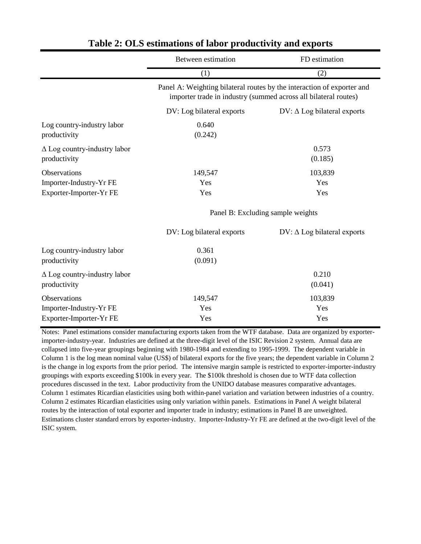| Between estimation                | FD estimation                                                                                                                             |  |  |  |
|-----------------------------------|-------------------------------------------------------------------------------------------------------------------------------------------|--|--|--|
| (1)                               | (2)                                                                                                                                       |  |  |  |
|                                   | Panel A: Weighting bilateral routes by the interaction of exporter and<br>importer trade in industry (summed across all bilateral routes) |  |  |  |
| DV: Log bilateral exports         | $DV: \Delta Log$ bilateral exports                                                                                                        |  |  |  |
| 0.640<br>(0.242)                  |                                                                                                                                           |  |  |  |
|                                   | 0.573<br>(0.185)                                                                                                                          |  |  |  |
| 149,547                           | 103,839                                                                                                                                   |  |  |  |
| Yes                               | Yes                                                                                                                                       |  |  |  |
| Yes                               | Yes                                                                                                                                       |  |  |  |
| Panel B: Excluding sample weights |                                                                                                                                           |  |  |  |
| DV: Log bilateral exports         | $DV: \Delta Log \, bilateral \, exports$                                                                                                  |  |  |  |
| 0.361                             |                                                                                                                                           |  |  |  |
| (0.091)                           |                                                                                                                                           |  |  |  |
|                                   | 0.210<br>(0.041)                                                                                                                          |  |  |  |
| 149,547                           | 103,839                                                                                                                                   |  |  |  |
| Yes                               | Yes                                                                                                                                       |  |  |  |
| Yes                               | Yes                                                                                                                                       |  |  |  |
|                                   |                                                                                                                                           |  |  |  |

### **Table 2: OLS estimations of labor productivity and exports**

Notes: Panel estimations consider manufacturing exports taken from the WTF database. Data are organized by exporterimporter-industry-year. Industries are defined at the three-digit level of the ISIC Revision 2 system. Annual data are collapsed into five-year groupings beginning with 1980-1984 and extending to 1995-1999. The dependent variable in Column 1 is the log mean nominal value (US\$) of bilateral exports for the five years; the dependent variable in Column 2 is the change in log exports from the prior period. The intensive margin sample is restricted to exporter-importer-industry groupings with exports exceeding \$100k in every year. The \$100k threshold is chosen due to WTF data collection procedures discussed in the text. Labor productivity from the UNIDO database measures comparative advantages. Column 1 estimates Ricardian elasticities using both within-panel variation and variation between industries of a country. Column 2 estimates Ricardian elasticities using only variation within panels. Estimations in Panel A weight bilateral routes by the interaction of total exporter and importer trade in industry; estimations in Panel B are unweighted. Estimations cluster standard errors by exporter-industry. Importer-Industry-Yr FE are defined at the two-digit level of the ISIC system.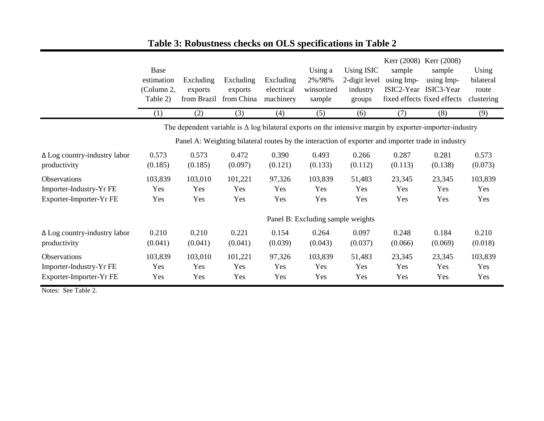|                                                     | Base<br>estimation<br>(Column 2,<br>Table 2) | Excluding<br>exports<br>from Brazil | Excluding<br>exports<br>from China | Excluding<br>electrical<br>machinery | Using a<br>2%/98%<br>winsorized<br>sample | <b>Using ISIC</b><br>2-digit level<br>industry<br>groups | sample<br>using Imp- | Kerr (2008) Kerr (2008)<br>sample<br>using Imp-<br>ISIC2-Year ISIC3-Year<br>fixed effects fixed effects        | Using<br>bilateral<br>route<br>clustering |
|-----------------------------------------------------|----------------------------------------------|-------------------------------------|------------------------------------|--------------------------------------|-------------------------------------------|----------------------------------------------------------|----------------------|----------------------------------------------------------------------------------------------------------------|-------------------------------------------|
|                                                     | (1)                                          | (2)                                 | (3)                                | (4)                                  | (5)                                       | (6)                                                      | (7)                  | (8)                                                                                                            | (9)                                       |
|                                                     |                                              |                                     |                                    |                                      |                                           |                                                          |                      | The dependent variable is $\Delta$ log bilateral exports on the intensive margin by exporter-importer-industry |                                           |
|                                                     |                                              |                                     |                                    |                                      |                                           |                                                          |                      | Panel A: Weighting bilateral routes by the interaction of exporter and importer trade in industry              |                                           |
| $\Delta$ Log country-industry labor<br>productivity | 0.573<br>(0.185)                             | 0.573<br>(0.185)                    | 0.472<br>(0.097)                   | 0.390<br>(0.121)                     | 0.493<br>(0.133)                          | 0.266<br>(0.112)                                         | 0.287<br>(0.113)     | 0.281<br>(0.138)                                                                                               | 0.573<br>(0.073)                          |
| Observations                                        | 103,839                                      | 103,010                             | 101,221                            | 97,326                               | 103,839                                   | 51,483                                                   | 23,345               | 23,345                                                                                                         | 103,839                                   |
| Importer-Industry-Yr FE                             | Yes                                          | Yes                                 | Yes                                | Yes                                  | Yes                                       | Yes                                                      | Yes                  | Yes                                                                                                            | Yes                                       |
| Exporter-Importer-Yr FE                             | Yes                                          | Yes                                 | Yes                                | Yes                                  | Yes                                       | Yes                                                      | Yes                  | Yes                                                                                                            | Yes                                       |
|                                                     |                                              |                                     |                                    |                                      | Panel B: Excluding sample weights         |                                                          |                      |                                                                                                                |                                           |
| $\Delta$ Log country-industry labor                 | 0.210                                        | 0.210                               | 0.221                              | 0.154                                | 0.264                                     | 0.097                                                    | 0.248                | 0.184                                                                                                          | 0.210                                     |
| productivity                                        | (0.041)                                      | (0.041)                             | (0.041)                            | (0.039)                              | (0.043)                                   | (0.037)                                                  | (0.066)              | (0.069)                                                                                                        | (0.018)                                   |
| Observations                                        | 103,839                                      | 103,010                             | 101,221                            | 97,326                               | 103,839                                   | 51,483                                                   | 23,345               | 23,345                                                                                                         | 103,839                                   |
| Importer-Industry-Yr FE                             | Yes                                          | Yes                                 | Yes                                | Yes                                  | Yes                                       | Yes                                                      | Yes                  | Yes                                                                                                            | Yes                                       |
| Exporter-Importer-Yr FE                             | Yes                                          | Yes                                 | Yes                                | Yes                                  | Yes                                       | Yes                                                      | Yes                  | Yes                                                                                                            | Yes                                       |

# **Table 3: Robustness checks on OLS specifications in Table 2**

Notes: See Table 2.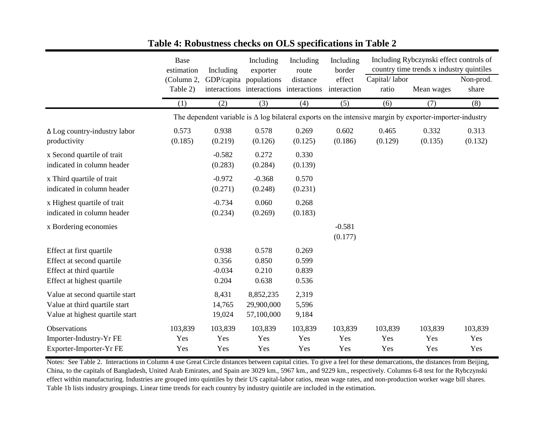|                                                                                                                 | Base<br>estimation     | Including                           | Including<br>exporter                                 | Including<br>route               | Including<br>border   |                                                                                                                | Including Rybczynski effect controls of<br>country time trends x industry quintiles |                       |
|-----------------------------------------------------------------------------------------------------------------|------------------------|-------------------------------------|-------------------------------------------------------|----------------------------------|-----------------------|----------------------------------------------------------------------------------------------------------------|-------------------------------------------------------------------------------------|-----------------------|
|                                                                                                                 | (Column 2,<br>Table 2) | GDP/capita                          | populations<br>interactions interactions interactions | distance                         | effect<br>interaction | Capital/labor<br>ratio                                                                                         | Mean wages                                                                          | Non-prod.<br>share    |
|                                                                                                                 | (1)                    | (2)                                 | (3)                                                   | (4)                              | (5)                   | (6)                                                                                                            | (7)                                                                                 | (8)                   |
|                                                                                                                 |                        |                                     |                                                       |                                  |                       | The dependent variable is $\Delta$ log bilateral exports on the intensive margin by exporter-importer-industry |                                                                                     |                       |
| $\Delta$ Log country-industry labor<br>productivity                                                             | 0.573<br>(0.185)       | 0.938<br>(0.219)                    | 0.578<br>(0.126)                                      | 0.269<br>(0.125)                 | 0.602<br>(0.186)      | 0.465<br>(0.129)                                                                                               | 0.332<br>(0.135)                                                                    | 0.313<br>(0.132)      |
| x Second quartile of trait<br>indicated in column header                                                        |                        | $-0.582$<br>(0.283)                 | 0.272<br>(0.284)                                      | 0.330<br>(0.139)                 |                       |                                                                                                                |                                                                                     |                       |
| x Third quartile of trait<br>indicated in column header                                                         |                        | $-0.972$<br>(0.271)                 | $-0.368$<br>(0.248)                                   | 0.570<br>(0.231)                 |                       |                                                                                                                |                                                                                     |                       |
| x Highest quartile of trait<br>indicated in column header                                                       |                        | $-0.734$<br>(0.234)                 | 0.060<br>(0.269)                                      | 0.268<br>(0.183)                 |                       |                                                                                                                |                                                                                     |                       |
| x Bordering economies                                                                                           |                        |                                     |                                                       |                                  | $-0.581$<br>(0.177)   |                                                                                                                |                                                                                     |                       |
| Effect at first quartile<br>Effect at second quartile<br>Effect at third quartile<br>Effect at highest quartile |                        | 0.938<br>0.356<br>$-0.034$<br>0.204 | 0.578<br>0.850<br>0.210<br>0.638                      | 0.269<br>0.599<br>0.839<br>0.536 |                       |                                                                                                                |                                                                                     |                       |
| Value at second quartile start<br>Value at third quartile start<br>Value at highest quartile start              |                        | 8,431<br>14,765<br>19,024           | 8,852,235<br>29,900,000<br>57,100,000                 | 2,319<br>5,596<br>9,184          |                       |                                                                                                                |                                                                                     |                       |
| Observations<br>Importer-Industry-Yr FE<br>Exporter-Importer-Yr FE                                              | 103,839<br>Yes<br>Yes  | 103,839<br>Yes<br>Yes               | 103,839<br>Yes<br>Yes                                 | 103,839<br>Yes<br>Yes            | 103,839<br>Yes<br>Yes | 103,839<br>Yes<br>Yes                                                                                          | 103,839<br>Yes<br>Yes                                                               | 103,839<br>Yes<br>Yes |

### **Table 4: Robustness checks on OLS specifications in Table 2**

Notes: See Table 2. Interactions in Column 4 use Great Circle distances between capital cities. To give a feel for these demarcations, the distances from Beijing, China, to the capitals of Bangladesh, United Arab Emirates, and Spain are 3029 km., 5967 km., and 9229 km., respectively. Columns 6-8 test for the Rybczynski effect within manufacturing. Industries are grouped into quintiles by their US capital-labor ratios, mean wage rates, and non-production worker wage bill shares. Table 1b lists industry groupings. Linear time trends for each country by industry quintile are included in the estimation.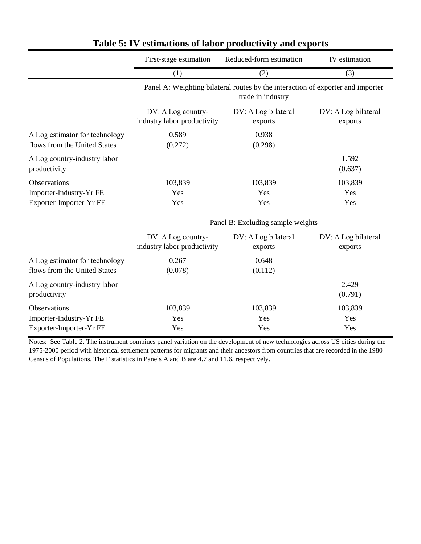|                                                     | First-stage estimation            | Reduced-form estimation                                                                              | IV estimation              |  |  |  |  |
|-----------------------------------------------------|-----------------------------------|------------------------------------------------------------------------------------------------------|----------------------------|--|--|--|--|
|                                                     | (1)                               | (2)                                                                                                  | (3)                        |  |  |  |  |
|                                                     |                                   | Panel A: Weighting bilateral routes by the interaction of exporter and importer<br>trade in industry |                            |  |  |  |  |
|                                                     | $DV: \Delta Log country$          | $DV: \Delta Log bilateral$                                                                           | $DV: \Delta Log bilateral$ |  |  |  |  |
|                                                     | industry labor productivity       | exports                                                                                              | exports                    |  |  |  |  |
| $\Delta$ Log estimator for technology               | 0.589                             | 0.938                                                                                                |                            |  |  |  |  |
| flows from the United States                        | (0.272)                           | (0.298)                                                                                              |                            |  |  |  |  |
| $\Delta$ Log country-industry labor<br>productivity |                                   |                                                                                                      | 1.592<br>(0.637)           |  |  |  |  |
| Observations                                        | 103,839                           | 103,839                                                                                              | 103,839                    |  |  |  |  |
| Importer-Industry-Yr FE                             | Yes                               | Yes                                                                                                  | Yes                        |  |  |  |  |
| Exporter-Importer-Yr FE                             | Yes                               | Yes                                                                                                  | Yes                        |  |  |  |  |
|                                                     | Panel B: Excluding sample weights |                                                                                                      |                            |  |  |  |  |
|                                                     | DV: $\Delta$ Log country-         | $DV: \Delta Log bilateral$                                                                           | $DV: \Delta Log bilateral$ |  |  |  |  |
|                                                     | industry labor productivity       | exports                                                                                              | exports                    |  |  |  |  |
| $\Delta$ Log estimator for technology               | 0.267                             | 0.648                                                                                                |                            |  |  |  |  |
| flows from the United States                        | (0.078)                           | (0.112)                                                                                              |                            |  |  |  |  |
| $\Delta$ Log country-industry labor<br>productivity |                                   |                                                                                                      | 2.429<br>(0.791)           |  |  |  |  |
| Observations                                        | 103,839                           | 103,839                                                                                              | 103,839                    |  |  |  |  |
| Importer-Industry-Yr FE                             | Yes                               | Yes                                                                                                  | Yes                        |  |  |  |  |
| Exporter-Importer-Yr FE                             | Yes                               | Yes                                                                                                  | Yes                        |  |  |  |  |

## **Table 5: IV estimations of labor productivity and exports**

Notes: See Table 2. The instrument combines panel variation on the development of new technologies across US cities during the 1975-2000 period with historical settlement patterns for migrants and their ancestors from countries that are recorded in the 1980 Census of Populations. The F statistics in Panels A and B are 4.7 and 11.6, respectively.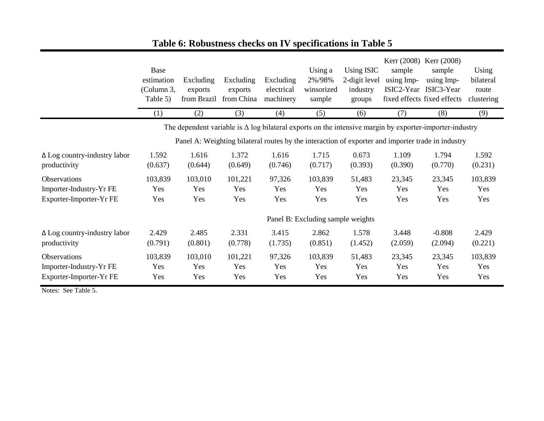|                                                                    | Base<br>estimation<br>(Column 3,<br>Table 5) | Excluding<br>exports<br>from Brazil | Excluding<br>exports<br>from China | Excluding<br>electrical<br>machinery | Using a<br>2%/98%<br>winsorized<br>sample | Using ISIC<br>2-digit level<br>industry<br>groups | sample<br>using Imp- | Kerr (2008) Kerr (2008)<br>sample<br>using Imp-<br>ISIC2-Year ISIC3-Year<br>fixed effects fixed effects        | Using<br>bilateral<br>route<br>clustering |
|--------------------------------------------------------------------|----------------------------------------------|-------------------------------------|------------------------------------|--------------------------------------|-------------------------------------------|---------------------------------------------------|----------------------|----------------------------------------------------------------------------------------------------------------|-------------------------------------------|
|                                                                    | (1)                                          | (2)                                 | (3)                                | (4)                                  | (5)                                       | (6)                                               | (7)                  | (8)                                                                                                            | (9)                                       |
|                                                                    |                                              |                                     |                                    |                                      |                                           |                                                   |                      | The dependent variable is $\Delta$ log bilateral exports on the intensive margin by exporter-importer-industry |                                           |
|                                                                    |                                              |                                     |                                    |                                      |                                           |                                                   |                      | Panel A: Weighting bilateral routes by the interaction of exporter and importer trade in industry              |                                           |
| $\Delta$ Log country-industry labor<br>productivity                | 1.592<br>(0.637)                             | 1.616<br>(0.644)                    | 1.372<br>(0.649)                   | 1.616<br>(0.746)                     | 1.715<br>(0.717)                          | 0.673<br>(0.393)                                  | 1.109<br>(0.390)     | 1.794<br>(0.770)                                                                                               | 1.592<br>(0.231)                          |
| Observations<br>Importer-Industry-Yr FE<br>Exporter-Importer-Yr FE | 103,839<br>Yes<br>Yes                        | 103,010<br>Yes<br>Yes               | 101,221<br>Yes<br>Yes              | 97,326<br>Yes<br>Yes                 | 103,839<br>Yes<br>Yes                     | 51,483<br>Yes<br>Yes                              | 23,345<br>Yes<br>Yes | 23,345<br>Yes<br>Yes                                                                                           | 103,839<br>Yes<br>Yes                     |
|                                                                    |                                              |                                     |                                    |                                      | Panel B: Excluding sample weights         |                                                   |                      |                                                                                                                |                                           |
| $\Delta$ Log country-industry labor<br>productivity                | 2.429<br>(0.791)                             | 2.485<br>(0.801)                    | 2.331<br>(0.778)                   | 3.415<br>(1.735)                     | 2.862<br>(0.851)                          | 1.578<br>(1.452)                                  | 3.448<br>(2.059)     | $-0.808$<br>(2.094)                                                                                            | 2.429<br>(0.221)                          |
| Observations<br>Importer-Industry-Yr FE<br>Exporter-Importer-Yr FE | 103,839<br>Yes<br>Yes                        | 103,010<br>Yes<br>Yes               | 101,221<br>Yes<br>Yes              | 97,326<br>Yes<br>Yes                 | 103,839<br>Yes<br>Yes                     | 51,483<br>Yes<br>Yes                              | 23,345<br>Yes<br>Yes | 23,345<br>Yes<br>Yes                                                                                           | 103,839<br>Yes<br>Yes                     |

# **Table 6: Robustness checks on IV specifications in Table 5**

Notes: See Table 5.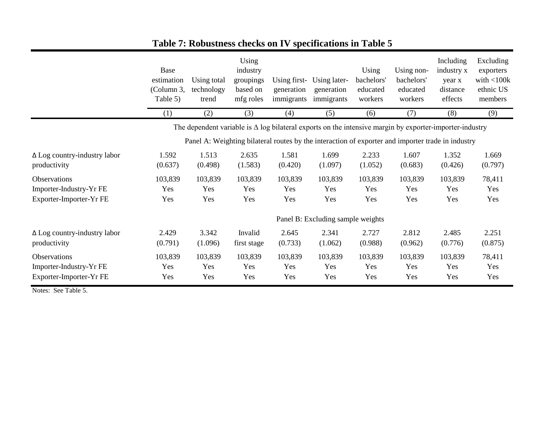|                                                                    | Base<br>estimation<br>(Column 3,<br>Table 5) | Using total<br>technology<br>trend | Using<br>industry<br>groupings<br>based on<br>mfg roles | Using first-<br>generation<br>immigrants | Using later-<br>generation<br>immigrants                                                                       | Using<br>bachelors'<br>educated<br>workers | Using non-<br>bachelors'<br>educated<br>workers | Including<br>industry x<br>year x<br>distance<br>effects | Excluding<br>exporters<br>with $<$ 100 $k$<br>ethnic US<br>members |
|--------------------------------------------------------------------|----------------------------------------------|------------------------------------|---------------------------------------------------------|------------------------------------------|----------------------------------------------------------------------------------------------------------------|--------------------------------------------|-------------------------------------------------|----------------------------------------------------------|--------------------------------------------------------------------|
|                                                                    | (1)                                          | (2)                                | (3)                                                     | (4)                                      | (5)                                                                                                            | (6)                                        | (7)                                             | (8)                                                      | (9)                                                                |
|                                                                    |                                              |                                    |                                                         |                                          | The dependent variable is $\Delta$ log bilateral exports on the intensive margin by exporter-importer-industry |                                            |                                                 |                                                          |                                                                    |
|                                                                    |                                              |                                    |                                                         |                                          | Panel A: Weighting bilateral routes by the interaction of exporter and importer trade in industry              |                                            |                                                 |                                                          |                                                                    |
| $\Delta$ Log country-industry labor<br>productivity                | 1.592<br>(0.637)                             | 1.513<br>(0.498)                   | 2.635<br>(1.583)                                        | 1.581<br>(0.420)                         | 1.699<br>(1.097)                                                                                               | 2.233<br>(1.052)                           | 1.607<br>(0.683)                                | 1.352<br>(0.426)                                         | 1.669<br>(0.797)                                                   |
| Observations<br>Importer-Industry-Yr FE<br>Exporter-Importer-Yr FE | 103,839<br>Yes<br>Yes                        | 103,839<br>Yes<br>Yes              | 103,839<br>Yes<br>Yes                                   | 103,839<br>Yes<br>Yes                    | 103,839<br>Yes<br>Yes                                                                                          | 103,839<br>Yes<br>Yes                      | 103,839<br>Yes<br>Yes                           | 103,839<br>Yes<br>Yes                                    | 78,411<br>Yes<br>Yes                                               |
|                                                                    |                                              |                                    |                                                         |                                          | Panel B: Excluding sample weights                                                                              |                                            |                                                 |                                                          |                                                                    |
| $\Delta$ Log country-industry labor<br>productivity                | 2.429<br>(0.791)                             | 3.342<br>(1.096)                   | Invalid<br>first stage                                  | 2.645<br>(0.733)                         | 2.341<br>(1.062)                                                                                               | 2.727<br>(0.988)                           | 2.812<br>(0.962)                                | 2.485<br>(0.776)                                         | 2.251<br>(0.875)                                                   |
| Observations<br>Importer-Industry-Yr FE<br>Exporter-Importer-Yr FE | 103,839<br>Yes<br>Yes                        | 103,839<br>Yes<br>Yes              | 103,839<br>Yes<br>Yes                                   | 103,839<br>Yes<br>Yes                    | 103,839<br>Yes<br>Yes                                                                                          | 103,839<br>Yes<br>Yes                      | 103,839<br>Yes<br>Yes                           | 103,839<br>Yes<br>Yes                                    | 78,411<br>Yes<br>Yes                                               |

# **Table 7: Robustness checks on IV specifications in Table 5**

Notes: See Table 5.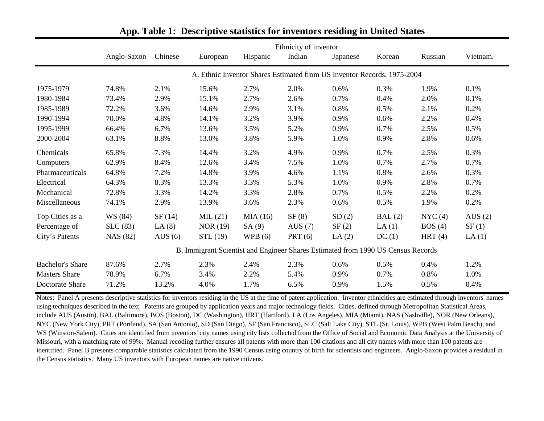|                         |             |           |                                                                                  |           | Ethnicity of inventor |                                                                         |        |           |           |
|-------------------------|-------------|-----------|----------------------------------------------------------------------------------|-----------|-----------------------|-------------------------------------------------------------------------|--------|-----------|-----------|
|                         | Anglo-Saxon | Chinese   | European                                                                         | Hispanic  | Indian                | Japanese                                                                | Korean | Russian   | Vietnam.  |
|                         |             |           |                                                                                  |           |                       | A. Ethnic Inventor Shares Estimated from US Inventor Records, 1975-2004 |        |           |           |
| 1975-1979               | 74.8%       | 2.1%      | 15.6%                                                                            | 2.7%      | 2.0%                  | 0.6%                                                                    | 0.3%   | 1.9%      | 0.1%      |
| 1980-1984               | 73.4%       | 2.9%      | 15.1%                                                                            | 2.7%      | 2.6%                  | 0.7%                                                                    | 0.4%   | 2.0%      | 0.1%      |
| 1985-1989               | 72.2%       | 3.6%      | 14.6%                                                                            | 2.9%      | 3.1%                  | 0.8%                                                                    | 0.5%   | 2.1%      | 0.2%      |
| 1990-1994               | 70.0%       | 4.8%      | 14.1%                                                                            | 3.2%      | 3.9%                  | 0.9%                                                                    | 0.6%   | 2.2%      | 0.4%      |
| 1995-1999               | 66.4%       | 6.7%      | 13.6%                                                                            | 3.5%      | 5.2%                  | 0.9%                                                                    | 0.7%   | 2.5%      | 0.5%      |
| 2000-2004               | 63.1%       | 8.8%      | 13.0%                                                                            | 3.8%      | 5.9%                  | 1.0%                                                                    | 0.9%   | 2.8%      | 0.6%      |
| Chemicals               | 65.8%       | 7.3%      | 14.4%                                                                            | 3.2%      | 4.9%                  | 0.9%                                                                    | 0.7%   | 2.5%      | 0.3%      |
| Computers               | 62.9%       | 8.4%      | 12.6%                                                                            | 3.4%      | 7.5%                  | 1.0%                                                                    | 0.7%   | 2.7%      | 0.7%      |
| Pharmaceuticals         | 64.8%       | 7.2%      | 14.8%                                                                            | 3.9%      | 4.6%                  | 1.1%                                                                    | 0.8%   | 2.6%      | 0.3%      |
| Electrical              | 64.3%       | 8.3%      | 13.3%                                                                            | 3.3%      | 5.3%                  | 1.0%                                                                    | 0.9%   | 2.8%      | 0.7%      |
| Mechanical              | 72.8%       | 3.3%      | 14.2%                                                                            | 3.3%      | 2.8%                  | 0.7%                                                                    | 0.5%   | 2.2%      | 0.2%      |
| Miscellaneous           | 74.1%       | 2.9%      | 13.9%                                                                            | 3.6%      | 2.3%                  | 0.6%                                                                    | 0.5%   | 1.9%      | 0.2%      |
| Top Cities as a         | WS (84)     | SF(14)    | MIL(21)                                                                          | MIA(16)   | SF(8)                 | SD(2)                                                                   | BAL(2) | NYC(4)    | AUS $(2)$ |
| Percentage of           | SLC(83)     | LA(8)     | NOR $(19)$                                                                       | SA(9)     | AUS $(7)$             | SF(2)                                                                   | LA(1)  | BOS(4)    | SF(1)     |
| City's Patents          | NAS (82)    | AUS $(6)$ | STL (19)                                                                         | WPB $(6)$ | PRT(6)                | LA $(2)$                                                                | DC(1)  | HRT $(4)$ | LA(1)     |
|                         |             |           | B. Immigrant Scientist and Engineer Shares Estimated from 1990 US Census Records |           |                       |                                                                         |        |           |           |
| <b>Bachelor's Share</b> | 87.6%       | 2.7%      | 2.3%                                                                             | 2.4%      | 2.3%                  | 0.6%                                                                    | 0.5%   | 0.4%      | 1.2%      |
| <b>Masters Share</b>    | 78.9%       | 6.7%      | 3.4%                                                                             | 2.2%      | 5.4%                  | 0.9%                                                                    | 0.7%   | 0.8%      | 1.0%      |
| Doctorate Share         | 71.2%       | 13.2%     | 4.0%                                                                             | 1.7%      | 6.5%                  | 0.9%                                                                    | 1.5%   | 0.5%      | 0.4%      |

**App. Table 1: Descriptive statistics for inventors residing in United States**

Notes: Panel A presents descriptive statistics for inventors residing in the US at the time of patent application. Inventor ethnicities are estimated through inventors' names using techniques described in the text. Patents are grouped by application years and major technology fields. Cities, defined through Metropolitan Statistical Areas, include AUS (Austin), BAL (Baltimore), BOS (Boston), DC (Washington), HRT (Hartford), LA (Los Angeles), MIA (Miami), NAS (Nashville), NOR (New Orleans), NYC (New York City), PRT (Portland), SA (San Antonio), SD (San Diego), SF (San Francisco), SLC (Salt Lake City), STL (St. Louis), WPB (West Palm Beach), and WS (Winston-Salem). Cities are identified from inventors' city names using city lists collected from the Office of Social and Economic Data Analysis at the University of Missouri, with a matching rate of 99%. Manual recoding further ensures all patents with more than 100 citations and all city names with more than 100 patents are identified. Panel B presents comparable statistics calculated from the 1990 Census using country of birth for scientists and engineers. Anglo-Saxon provides a residual in the Census statistics. Many US inventors with European names are native citizens.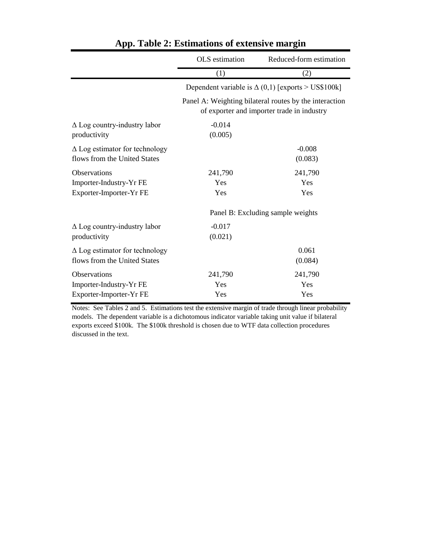|                                                                       | OLS estimation      | Reduced-form estimation                                                                              |
|-----------------------------------------------------------------------|---------------------|------------------------------------------------------------------------------------------------------|
|                                                                       | (1)                 | (2)                                                                                                  |
|                                                                       |                     | Dependent variable is $\Delta(0,1)$ [exports > US\$100k]                                             |
|                                                                       |                     | Panel A: Weighting bilateral routes by the interaction<br>of exporter and importer trade in industry |
| $\Delta$ Log country-industry labor<br>productivity                   | $-0.014$<br>(0.005) |                                                                                                      |
| $\Delta$ Log estimator for technology<br>flows from the United States |                     | $-0.008$<br>(0.083)                                                                                  |
| <b>Observations</b>                                                   | 241,790             | 241,790                                                                                              |
| Importer-Industry-Yr FE                                               | Yes                 | Yes                                                                                                  |
| Exporter-Importer-Yr FE                                               | Yes                 | Yes                                                                                                  |
|                                                                       |                     | Panel B: Excluding sample weights                                                                    |
| $\Delta$ Log country-industry labor                                   | $-0.017$            |                                                                                                      |
| productivity                                                          | (0.021)             |                                                                                                      |
| $\Delta$ Log estimator for technology                                 |                     | 0.061                                                                                                |
| flows from the United States                                          |                     | (0.084)                                                                                              |
| <b>Observations</b>                                                   | 241,790             | 241,790                                                                                              |
| Importer-Industry-Yr FE                                               | Yes                 | Yes                                                                                                  |
| Exporter-Importer-Yr FE                                               | Yes                 | Yes                                                                                                  |

## **App. Table 2: Estimations of extensive margin**

Notes: See Tables 2 and 5. Estimations test the extensive margin of trade through linear probability models. The dependent variable is a dichotomous indicator variable taking unit value if bilateral exports exceed \$100k. The \$100k threshold is chosen due to WTF data collection procedures discussed in the text.